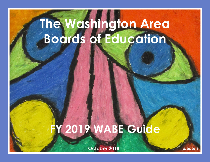# **The Washington Area Boards of Education**

# **FY 2019 WABE Guide**

**October 2018 5/20/2019**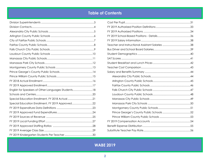# **Table of Contents**

| English for Speakers of Other Languages Students18 |  |
|----------------------------------------------------|--|
|                                                    |  |
| Special Education Enrollment, FY 2018 Actual21     |  |
| Special Education Enrollment, FY 2019 Approved22   |  |
|                                                    |  |
|                                                    |  |
|                                                    |  |
|                                                    |  |
|                                                    |  |
|                                                    |  |
|                                                    |  |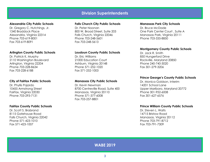## **Division Superintendents**

#### <span id="page-2-0"></span>**Alexandria City Public Schools**

Dr. Gregory C. Hutchings, Jr. 1340 Braddock Place Alexandria, Virginia 22314 Phone 703-619-8001 Fax 703-619-8091

#### **Arlington County Public Schools**

Dr. Patrick K. Murphy 2110 Washington Boulevard Arlington, Virginia 22204 Phone 703-228-8634 Fax 703-228-6188

#### **City of Fairfax Public Schools**

Dr. Phyllis Pajardo 10455 Armstrong Street Fairfax, Virginia 22030 Phone 703-293-7131

#### **Fairfax County Public Schools**

Dr. Scott S. Brabrand 8115 Gatehouse Road Falls Church, Virginia 22042 Phone 571-423-1010 Fax 571-423-1007

#### **Falls Church City Public Schools**

Dr. Peter Noonan 800 W. Broad Street, Suite 203 Falls Church, Virginia 22046 Phone 703-248-5601 Fax 703-248-5613

#### **Loudoun County Public Schools**

Dr. Eric Williams 21000 Education Court Ashburn, Virginia 20148 Phone 571-252-1020 Fax 571-252-1003

#### **Manassas City Public Schools**

Dr. Kevin Newman 8700 Centreville Road, Suite 400 Manassas, Virginia 20110 Phone 571-377-6008 Fax 703-257-8801

#### **Manassas Park City Schools**

Dr. Bruce McDade One Park Center Court , Suite A Manassas Park, Virginia 20111 Phone 703-335-8850

#### **Montgomery County Public Schools**

Dr. Jack R. Smith 850 Hungerford Drive Rockville, Maryland 20850 Phone 240-740-3020 Fax 301-279-3206

#### **Prince George's County Public Schools**

Dr. Monica Goldson, Interim 14201 School Lane Upper Marlboro, Maryland 20772 Phone 301-952-6008 Fax 301-627-6576

#### **Prince William County Public Schools**

Dr. Steven L. Walts 14715 Bristow Road Manassas, Virginia 20112 Phone 703-791-8712 Fax 703-791-7309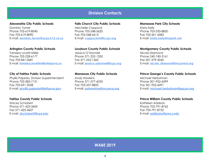## **Division Contacts**

#### <span id="page-3-0"></span>**Alexandria City Public Schools**

Dominic Turner Phone 703-619-8040 Fax 703-619-8090 E-mail: **dominic.turne[r@acps.k12.va.us](mailto:dominic.turner%40acps.k12.va.us?subject=)**

#### **Arlington County Public Schools**

Tameka Lovett-Miller Phone 703-228-6177 Fax 703-841-0681 E-mail: **tameka.lovettmiller[@apsva.us](mailto:tameka.lovettmiller%40apsva.us?subject=)**

#### **City of Fairfax Public Schools**

Phyllis Pajardo, Division Superintendent Phone 703-385-7131 Fax 703-691-2028 E-mail: **[phyllis.pajardo@fairfaxva.gov](mailto:phyllis.pajardo%40fairfaxva.gov?subject=)**

#### **Fairfax County Public Schools**

Stacey Schobert Phone 571-423-3600 Fax 571-423-3607 E-mail: **slschobert@fcps.edu**

#### **Falls Church City Public Schools**

Mechelle Coppock Phone 703-248-5620 Fax 703-248-5613 E-mail: **coppock[m@fccps.org](mailto:coppockm%40fccps.org?subject=)**

#### **Loudoun County Public Schools**

Jessica O'Donnell Phone 571-252-1250 Fax 571-252-1365 E-mail: **jessica.odonnel[l@lcps.org](mailto:jessica.odonnell%40lcps.org?subject=)**

#### **Manassas City Public Schools**

Andy Hawkins Phone 571-377-6035 Fax 703-257-8825 E-mail: **[pahawkins@mcpsva.org](mailto:pahawkins%40mcpsva.org?subject=)**

#### **Manassas Park City Schools**  Krista Kelly Phone 703-335-8850 Fax 703-361-4583 E-mail: **[krista.kelly@mpark.net](mailto:krista.kelly%40mpark.net?subject=)**

#### **Montgomery County Public Schools**

Nicola Diamond Phone 240-740-3161 Fax 301-279-3045 E-mail: **nicola\_diamond[@mcpsmd.org](mailto:nicola_diamond%40mcpsmd.org?subject=)**

#### **Prince George's County Public Schools**

Michael Herbstman Phone 301-952-6099 Fax 301-952-6091 E-mail: **michael.herbstma[n@pgcps.org](mailto:michael.herbstman%40pgcps.org?subject=)**

#### **Prince William County Public Schools**

Kathleen Addison Phone 703-791-8762 Fax 703-791-8752 E-mail: **addisoke[@pwcs.edu](mailto:ADDISOKE%40pwcs.edu?subject=)**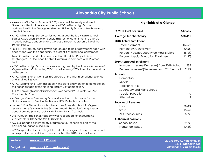## **Alexandria City Public Schools**

- <span id="page-4-0"></span>• Alexandra City Public Schools (ACPS) launched the newly endorsed Governor's Health Science Academy at T.C. Williams High School in partnership with the George Washington University School of Medicine and Health Sciences.
- A T.C. Williams High School senior was awarded the top Virginia School Boards Association Exhibitors Scholarship for her commitment to a future in public policy, academics and work as a student representative of the School Board.
- Four T.C. Williams students developed an app to help fellow teens cope with anxiety and won the opportunity to present it at a national conference.
- Two T.C. Williams students were invited to attend the Project Green Challenge 2017 Challenge Finals in California to compete with 15 other finalists.
- A T.C. Williams High School junior was recognized by the Science Museum of Virginia with an Outstanding STEM award for using STEM to make the world a better place.
- A T.C. Williams junior won Best in Category at the Intel International Science and Engineering Fair.
- A T.C. Williams junior won first place in the state and went on to compete on the national stage at the National History Day competition.
- T.C. Williams High School track coach was named 2018 Winter All-Met Coach of the Year
- A George Mason Elementary School student won third place for the National Award of Merit in the National PTA Reflections contest.
- James K. Polk Elementary School was one of only six schools in Virginia to receive the Let's Move Active Schools award, the nation's top physical education and physical activity distinction for K-12 schools.
- Lyles-Crouch Traditional Academy was recognized for encouraging environmental stewardship in its students.
- ACPS expanded a swim safety program to four schools as part of the physical education curriculum.
- ACPS expanded the bicycling skills and safety program to eight schools and will expand to an additional three schools in the 2018-19 school year.

**Website: [www.acps.k12.va.us](http://www.acps.k12.va.us)**

**Budget Link: [www.acps.k12.va.us/budgets/](https://www.acps.k12.va.us/budgets/)**

#### **Highlights at a Glance**

| FY 2019 Cost Per Pupil<br>\$17,606           |                |
|----------------------------------------------|----------------|
| <b>Average Teacher Salary</b>                | \$78,461       |
| 2018 Actual Enrollment                       |                |
| <b>Total Enrollment</b>                      | 15,542         |
| Percent ESOL Enrollment                      | 30.5%          |
| Percent Free/Reduced Price Meal Eligible     | 58.6%          |
| <b>Percent Special Education Enrollment</b>  | 11.4%          |
| 2019 Approved Enrollment                     |                |
| Number Increase/(Decrease) from 2018 Actual  | 386            |
| Percent Increase/(Decrease) from 2018 Actual | 2.5%           |
| Schools                                      |                |
| Elementary                                   | 13             |
| Middle                                       | $\overline{2}$ |
| Traditional (K-8)                            | 1              |
| Secondary and High Schools                   | 1              |
| Special Education                            | 0              |
| Alternative                                  | 2              |
| <b>Sources of Revenue</b>                    |                |
| Local                                        | 78.8%          |
| State                                        | 15.5%          |
| All Other Sources                            | 5.7%           |
| <b>Authorized Positions</b>                  |                |
| School-Based                                 | 89.7%          |
| Nonschool-Based                              | 10.3%          |

**Dr. Gregory C. Hutchings, Jr. 1340 Braddock Place Alexandria, Virginia 22314**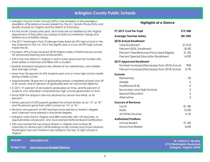- <span id="page-5-0"></span>• Arlington County Public Schools (APS) is the recipient of the prestigious Medallion of Excellence Award present by the *U.S. Senate* Productivity and Quality Awards for Virginia and the District of Columbia.
- For the fourth consecutive year, all schools are accredited by the Virginia Department of Education according to state accreditation ratings and federal accountability ratings.
- The 2017 *Washington Post* Challenge Index listed all APS high schools in the top 3 percent in the U.S. This is the eighth year in a row all APS high schools made the list.
- Fourteen APS schools received 2018 Virginia Index of Performance awards for advanced learning and achievement.
- APS is the only district in Virginia in which every preschool slot funded with state dollars is matched and filled with a student.
- Spanish immersion programs are offered at two elementary, one middle, and one high school.
- More than 95 percent of APS students earn one or more high school credits during middle school.
- Approximately 78 percent of graduating seniors completed at least one AP or IB course, and 67 percent of graduates earn an advanced diploma.
- In 2017, 91 percent of all students graduated on time, and 96 percent of students who attended comprehensive high schools graduated on time.
- Since 2009 the dropout rate has declined by almost two-thirds, or 45 percent.
- Ninety percent of APS parents graded the school division as an "A" or "B," and 94 percent gave their child's school an "A" or "B."
- Seventy-nine percent of APS teachers have earned a master's degree, and 3 percent have earned a doctorate degree.
- Arlington ranks third in Virginia and 28th nationally with 143 teachers, or approximately 6.8 percent, who have earned National Board Certification.
- APS was named the top school division in Virginia and number 58 nationally by Niche.com's 2018 rankings of top schools and school divisions. Washington-Lee and Yorktown are ranked in the top 15 high schools in Virginia.

**Website: [www.apsva.us](http://www.apsva.us)**

**Budget Link: [www.apsva.us/budget-finance](http://www.apsva.us/budget-finance)**

| <b>Highlights at a Glance</b> |  |  |
|-------------------------------|--|--|
|-------------------------------|--|--|

| FY 2019 Cost Per Pupil<br>\$19,348           |                |
|----------------------------------------------|----------------|
| <b>Average Teacher Salary</b>                | \$81,042       |
| <b>2018 Actual Enrollment</b>                |                |
| <b>Total Enrollment</b>                      | 27,018         |
| Percent ESOL Enrollment                      | 18.3%          |
| Percent Free/Reduced Price Meal Eligible     | 31.2%          |
| <b>Percent Special Education Enrollment</b>  | 14.9%          |
| 2019 Approved Enrollment                     |                |
| Number Increase/(Decrease) from 2018 Actual  | 998            |
| Percent Increase/(Decrease) from 2018 Actual | 3.7%           |
| Schools                                      |                |
| Elementary                                   | 23             |
| Middle                                       | 5              |
| Traditional (K-8)                            | 0              |
| Secondary and High Schools                   | 5              |
| <b>Special Education</b>                     | $\overline{2}$ |
| Alternative                                  | 3              |
| <b>Sources of Revenue</b>                    |                |
| Local                                        | 81.3%          |
| State                                        | 13.6%          |
| All Other Sources                            | 5.1%           |
| <b>Authorized Positions</b>                  |                |
| School-Based                                 | 91.4%          |
| Nonschool-Based                              | $8.6\%$        |

**Dr. Patrick K. Murphy 2110 Washington Boulevard Arlington, Virginia 22204**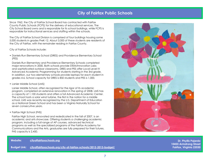## **City of Fairfax Public Schools**

<span id="page-6-0"></span>Since 1962, the City of Fairfax School Board has contracted with Fairfax County Public Schools (FCPS) for the delivery of educational services. The City School Board owns and is responsible for its school buildings, while FCPS is responsible for instructional services and staffing within the schools.

The City of Fairfax School Division is comprised of four buildings housing some 5,000 students in grades PreK-12. About 3,000 of these students are residents of the City of Fairfax, with the remainder residing in Fairfax County.

City of Fairfax Schools include:

• Daniels Run Elementary School (DRES) and Providence Elementary School (PES)

Daniels Run Elementary and Providence Elementary Schools completed major renovations in 2000. Both schools provide STEM/Innovation Labs and sophisticated outdoor classrooms. DRES and PES offer Local Level IV Advanced Academic Programming for students starting in the 3rd grade. In addition, our two elementary schools provide laptops for each student in grades 4-6. School capacity for DRES is 850 students and PES is 1,000.

• Lanier Middle School (LMS)

Lanier Middle School, often recognized for the rigor of its academic program, completed an extensive renovation in the spring of 2008. LMS has a capacity of 1,100 students and offers a full Advanced Academic Center. The school hosts a solar wind turbine, the first in the nation for a middle school. LMS was recently recognized by the U.S. Department of Education as a National Green School and has been a Virginia Naturally School for seven consecutive years.

• Fairfax High School (FHS)

Fairfax High School, renovated and rededicated in the fall of 2007, is an academic and arts showcase. Offering students a challenging academic program, including a full range of AP courses, advanced technical programs as well as the specialized programs of the Fairfax Academy for Communications and the Arts, graduates are fully prepared for their futures. FHS capacity is 2,450.



#### **Website: [cityoffairfaxschools.org](http://cityoffairfaxschools.org) Dr. Phyllis Pajardo**

**Budget Link: [cityoffairfaxschools.org/city-of-fairfax-schools/2012-2013-budget/](http://cityoffairfaxschools.org/city-of-fairfax-schools/2012-2013-budget/)**

**10455 Armstrong Street Fairfax, Virginia 22030**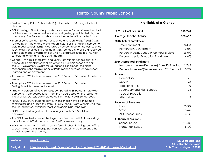- <span id="page-7-0"></span>• Fairfax County Public Schools (FCPS) is the nation's 10th largest school division.
- FCPS' Strategic Plan, *Ignite*, provides a framework for decision making that builds upon a common mission, vision, and guiding principles held by the community. The *Portrait of a Graduate* is the center of the strategic plan.
- Thomas Jefferson High School for Science and Technology (TJHSST) was ranked by U.S. News and World Report in 2018 as the nation's number ten gold medal school. TJHSST was ranked number three for the best science, technology, engineering and math (STEM) school. In total, FCPS received eight gold medal awards, one of which was ranked in the top 100 high schools nationally and three silver medals.
- Cooper, Franklin, Longfellow, and Rocky Run Middle Schools as well as Keene Mill Elementary School are among 14 Virginia schools to earn the 2018 Governor's Award for Educational Excellence, the highest recognition in the Virginia Index of Performance awards for advanced learning and achievement.
- Thirty-seven FCPS schools earned the 2018 Board of Education Excellence Award.
- Twenty-four FCPS schools earned the 2018 Board of Education Distinguished Achievement Award.
- Ninety-six percent of FCPS schools, compared to 86 percent statewide, earned full state accreditation from the VDOE based on the results from the Virginia SOL tests administered during the 2017-2018 school year.
- For 2018, 223 FCPS students from 17 high schools have been named semifinalists, and 44 students from 11 FCPS schools were winners who took the Preliminary SAT/National Merit Scholarship Qualifying Test.
- FCPS is the third largest employer in Virginia, with 24,137 full-time employees.
- The FCPS bus fleet is one of the largest bus fleets in the U.S., transporting more than 141,000 students on over 1,600 buses each day.
- FCPS has more than 27 million square feet of school buildings and office space, including 153 Energy Star certified schools, more than any other school system in the country.

| FY 2019 Cost Per Pupil                       | \$15,293 |
|----------------------------------------------|----------|
| <b>Average Teacher Salary</b>                | \$75,657 |
| <b>2018 Actual Enrollment</b>                |          |
| <b>Total Enrollment</b>                      | 188,403  |
| Percent ESOL Enrollment                      | 19.0%    |
| Percent Free/Reduced Price Meal Eligible     | 29.0%    |
| <b>Percent Special Education Enrollment</b>  | 14.0%    |
| 2019 Approved Enrollment                     |          |
| Number Increase/(Decrease) from 2018 Actual  | 1,765    |
| Percent Increase/(Decrease) from 2018 Actual | 0.9%     |
| Schools                                      |          |
| Elementary                                   | 4        |
| Middle                                       | 23       |
| Traditional (K-8)                            | $\Omega$ |
| Secondary and High Schools                   | 25       |
| <b>Special Education</b>                     | 7        |
| Alternative                                  | 2        |
| <b>Sources of Revenue</b>                    |          |
| Local                                        | 70.3%    |
| State                                        | 23.6%    |
| All Other Sources                            | 6.1%     |
| <b>Authorized Positions</b>                  |          |
| School-Based                                 | 93.4%    |
| Nonschool-Based                              | 6.6%     |

| Website: | www.fcps.edu/                                                                                   | <b>Dr. Scott Brabrand</b>                                         |
|----------|-------------------------------------------------------------------------------------------------|-------------------------------------------------------------------|
|          | Budget Link:     https://www.fcps.edu/sites/default/files/media/pdf/FY-2019-Approved-Budget.pdf | <b>8115 Gatehouse Road</b><br><b>Falls Church, Virginia 22042</b> |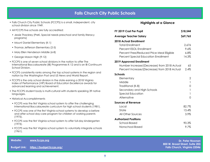## **Falls Church City Public Schools**

- <span id="page-8-0"></span>• Falls Church City Public Schools (FCCPS) is a small, independent, city school division since 1949.
- All FCCPS five schools are fully accredited:
- Jessie Thackrey (PreK, Special needs preschool and family literacy programs)
- Mount Daniel Elementary (K-1)
- Thomas Jefferson Elementary (2-5)
- Mary Ellen Henderson Middle (6-8)
- George Mason High (9-12)
- FCCPS is one of seven school divisions in the nation to offer The International Baccalaureate (IB) Programmes K-12 and is an IB Continuum School Division.
- FCCPS consistently ranks among the top school systems in the region and nation by the Washington Post and US News and World Report.
- FCCPS is the only school division in the state earning a 2018 Virginia Index of Performance (VIP) Board of Education Excellence awards for advanced learning and achievement.
- The FCCPS student body is multi-cultural with students speaking 39 native languages.
- Historical Accomplishments
- FCCPS was the first Virginia school system to offer the challenging International Baccalaureate curriculum for high school students (1981).
- FCCPS was one of the first Virginia school systems to develop a before and after school day-care program for children of working parents (1975).
- FCCPS was the first Virginia school system to offer full-day kindergarten (1973).
- FCCPS was the first Virginia school system to voluntarily integrate schools (1961).

| FY 2019 Cost Per Pupil                       | \$18,544     |
|----------------------------------------------|--------------|
| <b>Average Teacher Salary</b>                | \$69,765     |
| 2018 Actual Enrollment                       |              |
| <b>Total Enrollment</b>                      | 2,676        |
| Percent ESOL Enrollment                      | 9.6%         |
| Percent Free/Reduced Price Meal Eligible     | $6.8\%$      |
| <b>Percent Special Education Enrollment</b>  | 14.3%        |
| 2019 Approved Enrollment                     |              |
| Number Increase/(Decrease) from 2018 Actual  | 65           |
| Percent Increase/(Decrease) from 2018 Actual | 2.4%         |
| Schools                                      |              |
| Elementary                                   | 2            |
| Middle                                       | $\mathbf{1}$ |
| Traditional (K-8)                            | 0            |
| Secondary and High Schools                   | 1            |
| <b>Special Education</b>                     | 1            |
| Alternative                                  | 0            |
| <b>Sources of Revenue</b>                    |              |
| Local                                        | 82.7%        |
| State                                        | 13.4%        |
| All Other Sources                            | 3.9%         |
| <b>Authorized Positions</b>                  |              |
| School-Based                                 | 90.3%        |
| Nonschool-Based                              | 9.7%         |

| Website: | www.fccps.org                          | <b>Dr. Peter Noonan</b>                                               |
|----------|----------------------------------------|-----------------------------------------------------------------------|
|          | Budget Link: https://budget.fccps.org/ | 800 W. Broad Street, Suite 203<br><b>Falls Church, Virginia 22046</b> |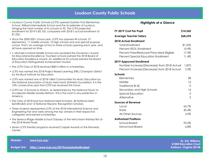## **Loudoun County Public Schools**

- <span id="page-9-0"></span>• Loudoun County Public Schools (LCPS) opened Goshen Post Elementary School, Willard Intermediate School and the Academies of Loudoun, bringing the total number of its schools to 92. The LCPS projected enrollment for 2019 is 83,105, compared with 2018's actual enrollment of 81,235.
- Since the 2000-2001 school year, LCPS has opened 49 schools: 27 elementary, 11 middle schools, 10 high schools and one special purpose school. That's an average of two to three schools opening each year, and all have opened on time.
- J. Michael Lunsford Middle School was awarded the Governor's Award for Educational Excellence. Fourteen schools earned the 2018 Board of Education Excellence Award. An additional 25 schools earned the Board of Education Distinguished Achievement Award.
- The LCPS Class of 2018 received \$58.5 million in scholarships.
- LCPS was named the 2018 Project-Based Learning (PBL) Champion District by the Buck Institute for Education.
- LCPS was named one of 2018's Best Communities for Music Education by the National Association of Music Merchants (NAMM) Foundation. It is the 10th consecutive year that LCPS has received this honor.
- LCPS has 15 Schools to Watch, as determined by the National Forum to Accelerate Middle Grades Reform. This is the most in any jurisdiction in America.
- The Class of 2018 had four National Merit Scholars, 40 National Merit Semifinalists and 13 National Hispanic Recognition Scholars.
- Three students represented LCPS at the 2018 International Science and Engineering Fair and were among the top winners in their respective categories and earned scholarships.
- The Seneca Ridge Middle School Odyssey of the Mind team finished first at the 2018 World Finals.
- Seven LCPS theatre programs received Cappie Awards at the Kennedy Center.

| FY 2019 Cost Per Pupil                       | \$14,260 |
|----------------------------------------------|----------|
| <b>Average Teacher Salary</b>                | \$68,694 |
| <b>2018 Actual Enrollment</b>                |          |
| <b>Total Enrollment</b>                      | 81,235   |
| Percent ESOL Enrollment                      | 10.9%    |
| Percent Free/Reduced Price Meal Eligible     | 17.4%    |
| <b>Percent Special Education Enrollment</b>  | 11.4%    |
| 2019 Approved Enrollment                     |          |
| Number Increase/(Decrease) from 2018 Actual  | 1,870    |
| Percent Increase/(Decrease) from 2018 Actual | 2.3%     |
| Schools                                      |          |
| Elementary                                   | 58       |
| Middle                                       | 16       |
| Traditional (K-8)                            | $\Omega$ |
| Secondary and High Schools                   | 16       |
| <b>Special Education</b>                     | 0        |
| Alternative                                  | 2        |
| <b>Sources of Revenue</b>                    |          |
| Local                                        | 65.7%    |
| State                                        | 30.4%    |
| All Other Sources                            | $3.9\%$  |
| <b>Authorized Positions</b>                  |          |
| School-Based                                 | 93.2%    |
| Nonschool-Based                              | $6.8\%$  |

| Website: | www.lcps.org/                                           | <b>Dr. Eric Williams</b>                                |
|----------|---------------------------------------------------------|---------------------------------------------------------|
|          | Budget Link: https://www.lcps.org/2019lcpsadoptedbudget | <b>21000 Education Court</b><br>Ashburn, Virginia 20148 |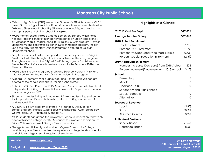## **Manassas City Public Schools**

- <span id="page-10-0"></span>• Osbourn High School (OHS) serves as a Governor's STEM Academy. OHS is also a Grammy Signature School in music education and was identified in 2016 as a Silver Medal School by *US News and World Report*, placing it in the top 16 percent of high schools in Virginia.
- MCPS theme schools include Weems Elementary School, which holds national recognition for its high achievement as an urban school and is a "Visitation Viable" model school for its Talents & Gifts program. Haydon Elementary School features a Spanish Dual Immersion program. Project Lead the Way "Elementary Launch Program" is offered at Baldwin Elementary School.
- Early learners are afforded the opportunity to participate in the Virginia Pre-School Initiative through a traditional or blended learning program. Through Model Innovation City<sup>®</sup> all Pre-K through grade 3 children who live in the City of Manassas have free access to the Footsteps2Brilliance literacy software.
- MCPS offers the only Integrated Math and Science Program (7-10) and Integrated Humanities Program (7-12) to students in the region.
- Algebra 1, Geometry, World Language, and Honors Earth Science are offered at the middle school level for high school credit.
- Robotics, VEX, Sea Perch, and "It's Academic" teams promote high level independent thinking and essential teamwork skills. Project Lead the Way is offered in grades 5-12.
- Students in grades 7 -12 participate in a 1:1 blended learning environment that supports creativity, collaboration, critical thinking, communication, and responsibility.
- A K-12 CTE & STEM program is offered in all schools. Osbourn High School programs include Cyber Security, Engineering, Auto Technology, Cosmetology, EMT/Paramedic, and HVAC.
- MCPS students can attend the Governor's School @ Innovation Park which offers advanced college level STEM courses to juniors and seniors on the Prince William Campus of George Mason University.
- George Mason University and Northern Virginia Community College provide opportunities for students to experience college level academics and obtain college credit through dual enrollment.

**Website: [www.mcpsva.org](http://www.mcpsva.org)**

**Budget Link: [www.mcpsva.org/Page/](http://www.mcpsva.org/Page/3033)3033**

### **Highlights at a Glance**

| FY 2019 Cost Per Pupil<br>\$12,855           |          |
|----------------------------------------------|----------|
| Average Teacher Salary                       | \$69,860 |
| <b>2018 Actual Enrollment</b>                |          |
| <b>Total Enrollment</b>                      | 7,795    |
| Percent ESOL Enrollment                      | 31.7%    |
| Percent Free/Reduced Price Meal Eligible     | 56.0%    |
| <b>Percent Special Education Enrollment</b>  | 12.5%    |
| 2019 Approved Enrollment                     |          |
| Number Increase/(Decrease) from 2018 Actual  | 238      |
| Percent Increase/(Decrease) from 2018 Actual | 3.1%     |
| Schools                                      |          |
| Elementary                                   | 5        |
| Middle                                       | 3        |
| Traditional (K-8)                            | 0        |
| Secondary and High Schools                   | 1        |
| <b>Special Education</b>                     | 0        |
| Alternative                                  | 0        |
| <b>Sources of Revenue</b>                    |          |
| Local                                        | 45.8%    |
| State                                        | 50.3%    |
| All Other Sources                            | 3.9%     |
| <b>Authorized Positions</b>                  |          |
| School-Based                                 | 91.5%    |
| Nonschool-Based                              | 8.5%     |

**Dr. Kevin Newman 8700 Centreville Road, Suite 400 Manassas, Virginia 20110**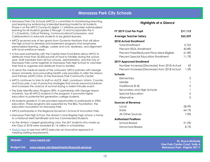## **Manassas Park City Schools**

- <span id="page-11-0"></span>• Manassas Park City Schools (MPCS) is committed to transforming teaching and learning by embracing a blended learning model for all students. Phase V of the MPCS Connects! digital 1:1 initiative provides individualized learning for all students grades 2 through 12 and incorporates the 4 C's (Creativity, Critical Thinking, Communication/Compassion, and Collaboration) to educate students to be global learners.
- MPCS received one of ten grants from Governor Northam that will allow the high school to develop and implement programs that emphasize personalized learning, college, career and civic readiness, and alignment with local workforce needs.
- A five-year partnership with the Capital Area Food Bank allows MPCS to distribute more than 50,000 pounds of food to families during the school year. Staff members from all four schools, administration, and the City of Manassas Park come together at Manassas Park High School to volunteer their time to organize and distribute food to families.
- To serve the medical needs of the uninsured, MPCS partners with George Mason University and surrounding health care providers to offer the Mason and Partners (MAP) Clinic at the Manassas Park Community Center.
- MPCS continues to train its staff on ALICE, Alert, Lockdown, Inform, Counter, and Evacuate, a set of proactive strategies that moves beyond lockdown and increases the chance of survival during a violent intruder event.
- The Early Identification Program (EIP), in partnership with George Mason University, has 40 MPCS students in the program; it promotes higher education to potential first generation college students.
- All students grades K-12 are provided opportunities to participate in STEM education. These programs are supported by The BELL Foundation, the education foundation for Manassas Park.
- MPCS participates in the Regional Governor's School @ Innovation Park.
- Manassas Park High School, the division's lone flagship high school, is home to a National Merit Semifinalist and two Commended Students.
- As the division's largest graduating class, the 267 students who made up the Class of 2018 were awarded \$1.16 million in scholarships.
- [Watch here](mailto:https://www.youtube.com/watch%3Fv%3D9ykCkh1m_TA?subject=) to see how MPCS executes an innovative approach in meeting staffing requirements.

**Budget Link: [www.mpark.net/departments/financial-services](http://www.mpark.net/departments/financial-services)**

#### **Highlights at a Glance**

| FY 2019 Cost Per Pupil                                                                                                  | \$11,113                              |
|-------------------------------------------------------------------------------------------------------------------------|---------------------------------------|
| <b>Average Teacher Salary</b>                                                                                           | \$62,529                              |
| 2018 Actual Enrollment                                                                                                  |                                       |
| <b>Total Enrollment</b><br>Percent ESOL Enrollment<br>Percent Free/Reduced Price Meal Eligible                          | 3,723<br>30.8%<br>61.8%               |
| <b>Percent Special Education Enrollment</b>                                                                             | 11.7%                                 |
| 2019 Approved Enrollment<br>Number Increase/(Decrease) from 2018 Actual<br>Percent Increase/(Decrease) from 2018 Actual | 43<br>1.2%                            |
| Schools                                                                                                                 |                                       |
| Elementary<br>Middle<br>Traditional (K-8)<br>Secondary and High Schools<br><b>Special Education</b><br>Alternative      | 2<br>$\mathbf{1}$<br>0<br>1<br>0<br>0 |
| <b>Sources of Revenue</b>                                                                                               |                                       |
| Local<br>State<br>All Other Sources                                                                                     | 28.9%<br>64.1%<br>7.0%                |
| <b>Authorized Positions</b>                                                                                             |                                       |
| School-Based<br>Nonschool-Based                                                                                         | 91.9%<br>8.1%                         |

**Dr. Bruce McDade One Park Center Court, Suite A Manassas Park, Virginia 20111**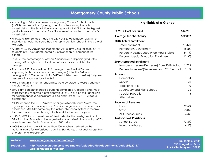## **Montgomery County Public Schools**

- <span id="page-12-0"></span>• According to Education Week, Montgomery County Public Schools (MCPS) has one of the highest graduation rates among the nation's largest districts. The Schott Foundation reports that MCPS has the highest graduation rate in the nation for African American males in the nation's largest districts.
- Five MCPS high schools made the U.S. News & World Report 2018 list of Best High Schools. The Board had the top three high schools in the state of Maryland.
- A total of 36,463 Advanced Placement (AP) exams were taken by MCPS students in 2017. Students scored a 3 or higher on 73 percent of the exams.
- In 2017, the percentage of African American and Hispanic graduates earning a 3 or higher on at least one AP exam surpassed the state average.
- The class of 2017 earned an 1126 average combined SAT score, surpassing both national and state averages (Note: the SAT was redesigned in 2016 and results for 2017 establish a new baseline). Sixty-two percent of graduates took the SAT.
- More than \$364 million in scholarships were awarded to MCPS students in the class of 2018.
- Sixty-eight percent of grade 8 students completed Algebra 1 and 74% of those students received a proficiency level of 3, 4 or 5 on the Partnership for Assessment of Readiness for College and Career (PARCC) Algebra assessment.
- MCPS received the 2010 Malcolm Baldrige National Quality Award, the highest presidential honor given to American organizations for performance excellence. MCPS became only the sixth public school system to receive the award and is by far the largest school district to be a recipient.
- In 2010, MCPS was named one of five finalists for the prestigious Broad Prize for Urban Education, the largest education prize in the country. MCPS was chosen as a finalist from a pool of 100 districts.
- MCPS leads the state with more than 700 teachers certified by the National Board for Professional Teaching Standards, a national recognition of professional excellence.

| FY 2019 Cost Per Pupil                       | \$16,281 |
|----------------------------------------------|----------|
| <b>Average Teacher Salary</b>                | \$82,809 |
| <b>2018 Actual Enrollment</b>                |          |
| <b>Total Enrollment</b>                      | 161,470  |
| <b>Percent ESOL Enrollment</b>               | 15.8%    |
| Percent Free/Reduced Price Meal Eligible     | 34.1%    |
| <b>Percent Special Education Enrollment</b>  | 11.3%    |
| 2019 Approved Enrollment                     |          |
| Number Increase/(Decrease) from 2018 Actual  | 1,714    |
| Percent Increase/(Decrease) from 2018 Actual | 1.1%     |
| <b>Schools</b>                               |          |
| Elementary                                   | 134      |
| Middle                                       | 40       |
| Traditional (K-8)                            | $\Omega$ |
| Secondary and High Schools                   | 26       |
| Special Education                            | 5        |
| Alternative                                  | 1        |
| <b>Sources of Revenue</b>                    |          |
| Local                                        | 67.6%    |
| State                                        | 28.0%    |
| All Other Sources                            | 4.4%     |
| <b>Authorized Positions</b>                  |          |
| School-Based                                 | 93.8%    |
| Nonschool-Based                              | 6.2%     |

| Website: | www.montgomeryschoolsmd.org/                                                                                        | Dr. Jack R. Smith                                        |
|----------|---------------------------------------------------------------------------------------------------------------------|----------------------------------------------------------|
|          | Budget Link: http://www.montgomeryschoolsmd.org/uploadedFiles/departments/budget/fy2019/<br>OperatingBudget WEB.pdf | 850 Hungerford Drive<br><b>Rockville, Maryland 20850</b> |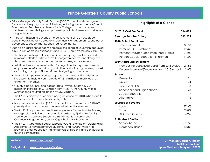## **Prince George's County Public Schools**

- <span id="page-13-0"></span>• Prince George's County Public Schools (PGCPS) is nationally recognized for its innovative programs and initiatives, including the Academy of Health Sciences and Teacher Academy Middle Colleges, numerous career academy course offerings, and partnerships with businesses and institutions of higher learning.
- It is PGCPS' mission to advance the achievement of its diverse student body through innovative programs, community engagement, sound policy governance, accountability, and fiscal responsibility.
- Building on significant academic progress, the Board of Education approved a \$2.0 billion operating budget on June 28, 2018, an increase of \$72.2 million.
- This budget will expand language immersion programs, literacy and numeracy efforts at all levels, Pre-kindergarten access, and strengthen the commitment to safe and supportive learning environments.
- Additional resources were added for negotiated salary commitments, employee benefits, mandatory and other costs of doing business, as well as funding to support Student-Based Budgeting to all schools.
- The FY 2019 Operating Budget approved by the Board includes a net increase in formula driven State Aid of \$31.5 million, primarily due to enrollment increases.
- County funding, including dedicated tax revenue, totals \$763.5 million, an increase of \$24.3 million from FY 2019. The County met its Maintenance of Effort obligation by \$13.6 million.
- The FY 2019 approved Federal funding increased by \$10.0 million, due to an increase in the federal restricted grants.
- Board sources amount to \$13.5 million, which is an increase of \$320,000 primarily due to an increase in interested earned for revenue.
- The FY 2019 approved expenditure budget was focused on the five key strategic plan initiatives: 1) Academic Excellence; 2) High Performing Workforce; 3) Safe and Supportive Environments; 4) Family and Community Engagement; and 5) Organizational Effectiveness.
- The FY 2019 Operating Budget supports PGCPS' promise of "Outstanding Academic Achievement for All Students," and PGCPS' mission "to provide a great education that empowers all students and contributes to thriving communities."

#### **Highlights at a Glance**

| FY 2019 Cost Per Pupil                            | \$14,093 |
|---------------------------------------------------|----------|
| <b>Average Teacher Salary</b>                     | \$69,905 |
| 2018 Actual Enrollment                            |          |
| <b>Total Enrollment</b>                           | 133,158  |
| Percent ESOL Enrollment                           | 19.4%    |
| Percent Free/Reduced Price Meal Eligible          | 61.2%    |
| <b>Percent Special Education Enrollment</b>       | 11.3%    |
| 2019 Approved Enrollment                          |          |
| Number Increase/(Decrease) from 2018 Actual 2,162 |          |
| Percent Increase/(Decrease) from 2018 Actual      | 1.6%     |
| Schools                                           |          |
| Elementary                                        | 121      |
| Middle                                            | 24       |
| Traditional (K-8)                                 | 13       |
| Secondary and High Schools                        | 28       |
| <b>Special Education</b>                          | 7        |
| Alternative                                       | 16       |
| <b>Sources of Revenue</b>                         |          |
| Local                                             | 37.3%    |
| State                                             | 55.8%    |
| All Other Sources                                 | 6.9%     |
| <b>Authorized Positions</b>                       |          |
| School-Based                                      | 89.7%    |
| Nonschool-Based                                   | 10.3%    |

**Website: [www1.pgcps.org/](http://www1.pgcps.org/) Budget Link: [www1.pgcps.org/budget/](http://www1.pgcps.org/budget/) Dr. Monica Goldson, Interim 14201 School Lane Upper Marlboro, Maryland 20772**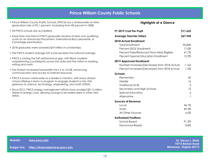- <span id="page-14-0"></span>• Prince William County Public Schools (PWCS) has a divisionwide on-time graduation rate of 92.1 percent, increasing from 83 percent in 2008.
- All PWCS schools are accredited.
- More than one-third of PWCS graduates receive at least one qualifying score on an Advanced Placement, International Baccalaureate, or Cambridge examination.
- 2018 graduates were awarded \$74 million in scholarships.
- The PWCS student average SAT score exceeds the national average.
- PWCS is closing the SAT performance gap, with Black students outperforming counterparts across the state and the nation in reading, writing and math.
- The Division increased bandwidth from 2 to 10 GB, enhancing communication and access to internet resources.
- PWCS is known nationwide as a leader in robotics, with every division school offering a team or program to engage students in this vital gateway to science, technology, engineering, and math (STEM).
- Since 2012, PWCS energy management efforts have avoided \$31.3 million dollars in energy costs, allowing savings to be reallocated to other vital areas.

| FY 2019 Cost Per Pupil                       | \$11,633       |
|----------------------------------------------|----------------|
| <b>Average Teacher Salary</b>                | \$67,944       |
| 2018 Actual Enrollment                       |                |
| <b>Total Enrollment</b>                      | 90,840         |
| Percent ESOL Enrollment                      | 17.0%          |
| Percent Free/Reduced Price Meal Eligible     | 41.7%          |
| <b>Percent Special Education Enrollment</b>  | 12.2%          |
| 2019 Approved Enrollment                     |                |
| Number Increase/(Decrease) from 2018 Actual  | 1,163          |
| Percent Increase/(Decrease) from 2018 Actual | 1.3%           |
| Schools                                      |                |
| Elementary                                   | 60             |
| Middle                                       | 16             |
| Traditional (K-8)                            | 3              |
| Secondary and High Schools                   | 12             |
| <b>Special Education</b>                     | $\overline{2}$ |
| Alternative                                  | $\mathbf{1}$   |
| Sources of Revenue                           |                |
| Local                                        | 44.1%          |
| State                                        | 49.3%          |
| All Other Sources                            | $6.6\%$        |
| <b>Authorized Positions</b>                  |                |
| School-Based                                 | 91.2%          |
| Nonschool-Based                              | 8.8%           |

| Website: | www.pwcs.edu                                    | <b>Dr. Steven L. Walts</b>                     |
|----------|-------------------------------------------------|------------------------------------------------|
|          | Budget Link: https://financialservices.pwcs.edu | 14715 Bristow Road<br>Manassas, Virginia 20112 |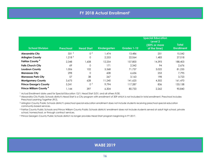## **FY 2018 Actual Enrollment<sup>1</sup>**

<span id="page-15-0"></span>

|                                    |                    |                   |                     |             | <b>Special Education</b><br>Level 2<br>(50% or more | <b>Total</b>      |
|------------------------------------|--------------------|-------------------|---------------------|-------------|-----------------------------------------------------|-------------------|
| <b>School Division</b>             | <b>Preschool</b>   | <b>Head Start</b> | <b>Kindergarten</b> | Grades 1-12 | of the time)                                        | <b>Enrollment</b> |
| <b>Alexandria City</b>             | 331 <sup>2</sup>   | 0 <sup>2</sup>    | 1,474               | 13,486      | 251                                                 | 15,542            |
| <b>Arlington County</b>            | 1,218 <sup>3</sup> | 0                 | 2,253               | 22,064      | 1,483                                               | 27,018            |
| Fairfax County <sup>4</sup>        | 2,348              | 1,608             | 12,254              | 157,800     | 14,393                                              | 188,403           |
| <b>Falls Church City</b>           | 69                 | 0                 | 171                 | 2.342       | 94                                                  | 2,676             |
| <b>Loudoun County</b>              | 1.006              | 102               | 5,368               | 71,737      | 3,022                                               | 81,235            |
| <b>Manassas City</b>               | 298                | 0                 | 608                 | 6,636       | 253                                                 | 7.795             |
| <b>Manassas Park City</b>          | 57                 | 38                | 267                 | 3.163       | 198                                                 | 3,723             |
| <b>Montgomery County</b>           | 3,675              | 628               | 11,240              | 141,625     | 4,302                                               | 161,470           |
| <b>Prince George's County</b>      | 5.241              | 0 <sup>5</sup>    | 9,794               | 117.287     | 836                                                 | 133,158           |
| Prince William County <sup>4</sup> | 1.144              | 397               | 6,304               | 80,733      | 2,262                                               | 90,840            |

1 Actual Enrollment date used for Special Education 12/1; Head Start 3/31; and all others 9/30.

 $^2$  Alexandria City Public Schools district's Head Start is a City program with enrollment of 309 which is not included in total enrollment. Preschool includes Preschool Learning Together (PLT).

 $\,{}^{3}$  Arlington County Public Schools district's preschool special education enrollment does not include students receiving preschool special education community-based services.

4 Fairfax County Public Schools and Prince William County Public Schools districts' enrollment does not include students served at adult high school, private school, homeschool, or through contract services.

5 Prince George's County Public Schools district no longer provides Head Start program beginning in FY 2017.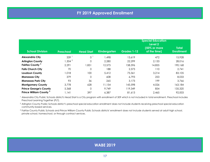<span id="page-16-0"></span>

| <b>School Division</b>             | <b>Preschool</b> | <b>Head Start</b> | <b>Kindergarten</b> | Grades 1-12 | <b>Special Education</b><br>Level 2<br>(50% or more<br>of the time) | <b>Total</b><br><b>Enrollment</b> |
|------------------------------------|------------------|-------------------|---------------------|-------------|---------------------------------------------------------------------|-----------------------------------|
| <b>Alexandria City</b>             | 339              | $\overline{O}$    | 1,498               | 13,619      | 472                                                                 | 15,928                            |
| <b>Arlington County</b>            | 1,304 $^{2}$     | $\Omega$          | 2,280               | 22,299      | 2,133                                                               | 28,016                            |
| Fairfax County <sup>3</sup>        | 2,291            | 1,851             | 12,575              | 158,596     | 14,855                                                              | 190,168                           |
| <b>Falls Church City</b>           | 70               | 0                 | 188                 | 2,373       | 110                                                                 | 2,741                             |
| Loudoun County                     | 1,018            | 100               | 5.412               | 73,361      | 3,214                                                               | 83,105                            |
| <b>Manassas City</b>               | 379              | 0                 | 608                 | 6,793       | 253                                                                 | 8,033                             |
| <b>Manassas Park City</b>          | 93               | 36                | 265                 | 3,173       | 199                                                                 | 3.766                             |
| <b>Montgomery County</b>           | 3,778            | 628               | 11,154              | 143,598     | 4,026                                                               | 163,184                           |
| <b>Prince George's County</b>      | 5,368            | 0                 | 9,749               | 119,349     | 854                                                                 | 135,320                           |
| Prince William County <sup>3</sup> | 1,141            | 397               | 6,387               | 81,613      | 2,465                                                               | 92,003                            |

1 Alexandria City Public Schools district's Head Start is a City program with enrollment of 309 which is not included in total enrollment. Preschool includes Preschool Learning Together (PLT).

 $^2$  Arlington County Public Schools district's preschool special education enrollment does not include students receiving preschool special education community-based services.

3 Fairfax County Public Schools and Prince William County Public Schools districts' enrollment does not include students served at adult high school, private school, homeschool, or through contract services.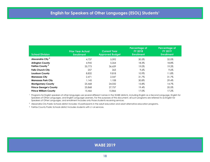<span id="page-17-0"></span>

| <b>School Division</b>        | <b>Prior Year Actual</b><br><b>Enrollment</b> | <b>Current Year</b><br><b>Approved Budget</b> | Percentage of<br><b>FY 2018</b><br><b>Enrollment</b> | Percentage of<br><b>FY 2019</b><br><b>Enrollment</b> |
|-------------------------------|-----------------------------------------------|-----------------------------------------------|------------------------------------------------------|------------------------------------------------------|
| Alexandria City <sup>2</sup>  | 4,737                                         | 5.092                                         | 30.5%                                                | 32.0%                                                |
| <b>Arlington County</b>       | 4,945                                         | 5.264                                         | 18.3%                                                | 18.8%                                                |
| Fairfax County <sup>3</sup>   | 35,773                                        | 36,659                                        | 19.0%                                                | 19.3%                                                |
| <b>Falls Church City</b>      | 257                                           | 263                                           | $9.6\%$                                              | $9.6\%$                                              |
| <b>Loudoun County</b>         | 8,832                                         | 9,818                                         | 10.9%                                                | 11.8%                                                |
| <b>Manassas City</b>          | 2.471                                         | 2.547                                         | 31.7%                                                | 31.7%                                                |
| <b>Manassas Park City</b>     | 1.145                                         | 1,108                                         | 30.8%                                                | 29.4%                                                |
| <b>Montgomery County</b>      | 25,468                                        | 24,032                                        | 15.8%                                                | 14.7%                                                |
| <b>Prince George's County</b> | 25,868                                        | 27.757                                        | 19.4%                                                | 20.5%                                                |
| <b>Prince William County</b>  | 15,466                                        | 15,866                                        | 17.0%                                                | 17.2%                                                |

1 Programs for English speakers of other languages use several different names in the WABE districts, including English as a Second Language, English for Speakers of Other Languages, and English Language Learners. For the purposes of this document, all such programs are referred to as English for Speakers of Other Languages, and enrollment includes only those students receiving services.

 $^2\,$  Alexandria City Public Schools district includes 10 participants in the adult education and adult alternative education programs.

3 Fairfax County Public Schools district includes students with L1-L4 services.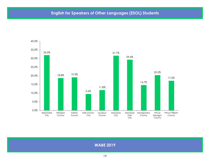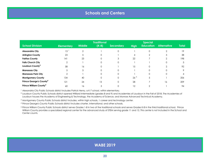<span id="page-19-0"></span>

|                                     |                   |                | <b>Traditional</b> |                  |                 | <b>Special</b>   |                    |              |
|-------------------------------------|-------------------|----------------|--------------------|------------------|-----------------|------------------|--------------------|--------------|
| <b>School Division</b>              | <b>Elementary</b> | <b>Middle</b>  | $(K-8)$            | <b>Secondary</b> | <b>High</b>     | <b>Education</b> | <b>Alternative</b> | <b>Total</b> |
| Alexandria City                     | 13                | $\overline{2}$ |                    | $\Omega$         |                 |                  |                    | 19           |
| <b>Arlington County</b>             | 23                | 5              | $\Omega$           |                  | 4               | 2                | 3                  | 38           |
| <b>Fairfax County</b>               | 4                 | 23             | $\Omega$           | 3                | 22              |                  | $\overline{2}$     | 198          |
| <b>Falls Church City</b>            | 2                 |                |                    | $\Omega$         |                 |                  |                    |              |
| Loudoun County <sup>2</sup>         | 58                | 16             | $\Omega$           |                  | 15              |                  | 2                  | 92           |
| <b>Manassas City</b>                | 5                 | 3              | $\Omega$           | $\Omega$         |                 |                  |                    |              |
| <b>Manassas Park City</b>           | $\overline{2}$    |                | $\Omega$           | $\Omega$         |                 |                  |                    |              |
| <b>Montgomery County</b>            | 134               | 40             |                    | 0                | 26 <sup>3</sup> | 5                |                    | 206          |
| Prince George's County <sup>4</sup> | 121               | 24             | 13                 | $\Omega$         | 28              |                  | 16                 | 209          |
| Prince William County <sup>5</sup>  | 60                | 16             | 3                  |                  | 12              |                  |                    | 94           |

1 Alexandria City Public Schools district includes Patrick Henry, a K-7 school, within elementary.

 $^2$  Loudoun County Public Schools district opened Williard Intermediate (grades 8 and 9) and Academies of Loudoun in the Fall of 2018. The Academies of Loudoun houses the Academy of Engineering & Technology, the Academy of Science, and Monroe Advanced Technical Academy.

 $^3$  Montgomery County Public Schools district includes, within high schools, 1 career and technology center.

4 Prince George's County Public Schools district includes charter, international, and other schools.

<sup>5</sup> Prince William County Public Schools district serves Grades 1-8 in two of the traditional schools and serves Grades K-8 in the third traditional school. Prince William County provides a specialized regional center for the advanced study of STEM serving grade 11 and 12. This center is not included in the School and Center counts.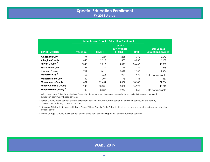<span id="page-20-0"></span>

|                                     | <b>Unduplicated Special Education Enrollment</b> |         |                                                 |              |                                                   |
|-------------------------------------|--------------------------------------------------|---------|-------------------------------------------------|--------------|---------------------------------------------------|
| <b>School Division</b>              | <b>Preschool</b>                                 | Level 1 | Level 2<br>$(50\% \text{ or more})$<br>of time) | <b>Total</b> | <b>Total Special</b><br><b>Education Services</b> |
| <b>Alexandria City</b>              | 194                                              | 1,327   | 251                                             | 1.772        | 8.042                                             |
| <b>Arlington County</b>             | $440^{-1}$                                       | 2.115   | 1,483                                           | 4,038        | 6.138                                             |
| Fairfax County <sup>2</sup>         | 2.348                                            | 9.719   | 14,393                                          | 26,460       | 46,908                                            |
| <b>Falls Church City</b>            | 41                                               | 247     | 94                                              | 382          | 575                                               |
| <b>Loudoun County</b>               | 732                                              | 5,491   | 3,022                                           | 9,245        | 12,406                                            |
| Manassas City <sup>3</sup>          | 69                                               | 653     | 253                                             | 975          | Data not available                                |
| <b>Manassas Park City</b>           | 30                                               | 207     | 198                                             | 435          | 587                                               |
| <b>Montgomery County</b>            | 1.431                                            | 12,454  | 4,302                                           | 18,187       | 21,884                                            |
| Prince George's County <sup>4</sup> | 1.947                                            | 10,001  | 3.051                                           | 14.999       | 40.215                                            |
| Prince William County <sup>3</sup>  | 702                                              | 8,089   | 2.262                                           | 11.053       | Data not available                                |

<sup>1</sup> Arlington County Public Schools district's preschool special education membership includes students for preschool special education community-based services.

2 Fairfax County Public Schools district's enrollment does not include students served at adult high school, private school, homeschool, or through contract services.

 $^3$  Manassas City Public Schools district and Prince William County Public Schools district do not report a duplicated special education student count.

<sup>4</sup> Prince George's County Public Schools district is one year behind in reporting Special Education Services.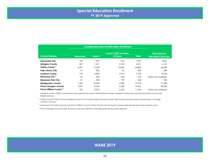<span id="page-21-0"></span>

|                                    | <b>Unduplicated Special Education Enrollment</b> |         |                                  |              |                                                   |
|------------------------------------|--------------------------------------------------|---------|----------------------------------|--------------|---------------------------------------------------|
| <b>School Division</b>             | Preschool                                        | Level 1 | Level 2 (50% or more<br>of time) | <b>Total</b> | <b>Total Special</b><br><b>Education Services</b> |
| <b>Alexandria City</b>             | 196                                              | 1.209   | 472                              | 1.877        | 8,051                                             |
| <b>Arlington County</b>            | $481$ <sup>1</sup>                               | 1.617   | 2.133                            | 4,231        | 6,161                                             |
| Fairfax County <sup>2</sup>        | 2.291                                            | 9.678   | 14,855                           | 26,824       | 46.989                                            |
| <b>Falls Church City</b>           | 41                                               | 253     | 96                               | 390          | 589                                               |
| <b>Loudoun County</b>              | 718                                              | 5,803   | 3.214                            | 9.735        | 13.026                                            |
| Manassas City <sup>3</sup>         | 69                                               | 653     | 253                              | 975          | Data not available                                |
| <b>Manassas Park City</b>          | 21                                               | 208     | 199                              | 428          | 590                                               |
| <b>Montgomery County</b>           | 1.493                                            | 13,584  | 4.026                            | 19,103       | 21,483                                            |
| <b>Prince George's County</b>      | 1.819                                            | 8.344   | 4.268                            | 14.431       | 38,060                                            |
| Prince William County <sup>3</sup> | 702                                              | 8.097   | 2.465                            | 11,264       | Data not available                                |

<sup>1</sup> Arlington County Public Schools preschool special education membership includes students for preschool special education communitybased services.

<sup>2</sup> Fairfax County Public Schools enrollment does not include students served at adult high school, private school, homeschool, or through contract services.

3 Manassas City Public Schools and Prince William County Public Schools do not report a duplicated special education student count.

<sup>4</sup> Prince George's County Public Schools is one year behind in reporting Special Education Services.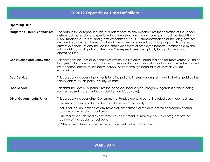<span id="page-22-0"></span>

| <b>Operating Fund</b>                 |                                                                                                                                                                                                                                                                                                                                                                                                                                                                                                                                                                                                                                     |
|---------------------------------------|-------------------------------------------------------------------------------------------------------------------------------------------------------------------------------------------------------------------------------------------------------------------------------------------------------------------------------------------------------------------------------------------------------------------------------------------------------------------------------------------------------------------------------------------------------------------------------------------------------------------------------------|
| or                                    |                                                                                                                                                                                                                                                                                                                                                                                                                                                                                                                                                                                                                                     |
| <b>Budgeted Current Expenditures:</b> | The data in this category include all funds for day-to-day expenditures for operation of the school<br>system such as regular and special education instruction; may include grants such as Head Start,<br>ESSA, Impact Aid, Perkins, and grants associated with IDEA; transportation costs including costs for<br>new and replacement buses; and building maintenance for educational programs. Budgeted<br>current expenditures also include the employer's share of employee benefits whether paid by the<br>school district, municipality, or the state. The expenditures are typically funded in the school<br>operating fund. |
| <b>Construction and Renovation:</b>   | This category includes all expenditures (which are typically funded in a capital improvements fund or<br>budget) for land, new construction, major renovations, and relocatable classrooms, whether funded<br>by the school district, municipality, county, or state through bond sales or "pay-as-you-go"<br>expenditures.                                                                                                                                                                                                                                                                                                         |
| <b>Debt Service:</b>                  | This category includes all payments for principal and interest on long-term debt whether paid by the<br>school district, municipality, county, or state.                                                                                                                                                                                                                                                                                                                                                                                                                                                                            |
| <b>Food Service:</b>                  | This data includes all expenditures for the school food services program regardless of the funding<br>source (federal, state, and local subsidies; and food sales).                                                                                                                                                                                                                                                                                                                                                                                                                                                                 |
| <b>Other Governmental Funds:</b>      | This category includes other Governmental Funds expenditures not included elsewhere, such as:                                                                                                                                                                                                                                                                                                                                                                                                                                                                                                                                       |
|                                       | • Grants budgeted in a fund other than those listed previously.                                                                                                                                                                                                                                                                                                                                                                                                                                                                                                                                                                     |
|                                       | • Adult education, defined as any remedial, enrichment, or makeup course or program offered<br>outside of the regular school year.                                                                                                                                                                                                                                                                                                                                                                                                                                                                                                  |
|                                       | • Summer school, defined as any remedial, enrichment, or makeup course or program offered<br>outside of the regular school year.                                                                                                                                                                                                                                                                                                                                                                                                                                                                                                    |
|                                       | • Other expenditures not defined elsewhere and defined within the chart.                                                                                                                                                                                                                                                                                                                                                                                                                                                                                                                                                            |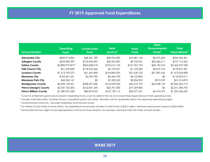<span id="page-23-0"></span>

| <b>School Division</b>        | <b>Operating</b><br>Fund <sup>1</sup> | <b>Construction</b><br><b>Fund</b> | <b>Debt</b><br>Service <sup>5</sup> | Food<br><b>Fund</b> | <b>Other</b><br>Governmental<br>Funds $2$ | Total<br>Expenditures <sup>3</sup> |
|-------------------------------|---------------------------------------|------------------------------------|-------------------------------------|---------------------|-------------------------------------------|------------------------------------|
| <b>Alexandria City</b>        | \$283,913,824                         | \$68,331,789                       | \$28,924,085                        | \$10,681,143        | \$5,075,620                               | \$396,926,461                      |
| <b>Arlington County</b>       | \$534,982,399                         | \$124,043,495                      | \$58,554,387                        | \$9,752,931         | \$30,383,211                              | \$757,716,423                      |
| <b>Fairfax County</b>         | $$2,883,979,875$ <sup>4</sup>         | \$204,828,018                      | \$196,012,133                       | \$101,967,724       | \$40,150,218                              | \$3,426,937,968                    |
| <b>Falls Church City</b>      | \$51,039,858                          | \$118,235,466                      | \$5,109,331                         | \$1,103,600         | \$2,819,126                               | \$178,307,381                      |
| <b>Loudoun County</b>         | \$1,213,793,270                       | \$61,647,800                       | \$134,845,030                       | \$31,630,102        | \$31,087,656                              | \$1,473,003,858                    |
| <b>Manassas City</b>          | \$104,421,631                         | \$3,303,783                        | \$6,346,792                         | \$4,152,805         | \$0                                       | \$118,225,011                      |
| <b>Manassas Park City</b>     | \$42,042,167                          | \$0                                | \$7,250,265                         | \$2,006,902         | \$215,539                                 | \$51,514,873                       |
| <b>Montgomery County</b>      | \$2,699,149,361                       | \$268,697,000                      | \$154,959,000                       | \$56,219,199        | \$23,238,159                              | \$3,202,262,719                    |
| <b>Prince George's County</b> | \$2,047,732,000                       | \$162,841,600                      | \$63,701,300                        | \$77,009,805        | \$0                                       | \$2,351,284,705                    |
| <b>Prince William County</b>  | \$1,080,297,628                       | \$84,874,962                       | \$107,730,113                       | \$52,277,451        | \$4,476,475                               | \$1,329,656,629                    |

<sup>1</sup> Funds for entitlement grants are included in Operating Funds, even for districts that do not include those expenditures in their operating funds.

<sup>2</sup> Includes Adult Education, Summer School, competitive grants and other. Numbers will not necessarily match the approved operating budget.

 $^3$  Governmental Funds only - excludes Proprietary and Fiduciary Funds.

4 For Fairfax County Public Schools district, the operating fund excludes transfers to other funds of \$30.5 million, textbook replacement reserve of \$3.8 million.

<sup>5</sup> School Debt Service might not be appropriated in the local school divisions, for example, Manassas Park City Public Schools division.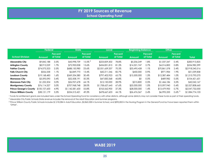<span id="page-24-0"></span>

|                               | <b>Federal</b> |                            | <b>State</b>    |                            | Local           |                     | <b>Beginning Balance</b> |                     | <b>Other</b> |                            |                 |
|-------------------------------|----------------|----------------------------|-----------------|----------------------------|-----------------|---------------------|--------------------------|---------------------|--------------|----------------------------|-----------------|
| <b>School Division</b>        | Amount         | <b>Percent</b><br>of Total | Amount          | <b>Percent</b><br>of Total | Amount          | Percent<br>of Total | Amount                   | Percent<br>of Total | Amount       | <b>Percent</b><br>of Total | Total           |
| <b>Alexandria City</b>        | \$9,842,188    | 3.5%                       | \$43,998,739    | $15.5\%$ <sup>2</sup>      | \$223,829,302   | 78.8%               | \$5,206,249              | $1.8\%$             | \$1,037,347  | 0.4%                       | \$283,913,825   |
| <b>Arlington County</b>       | \$8,912,029    | 1.7%                       | \$72,900,008    | 13.6%                      | \$434,831,815   | 81.3%               | \$14.321.747             | 2.7%                | \$4,016,800  | 0.8%                       | \$534,982,399   |
| <b>Fairfax County</b>         | \$74,073,323   | 2.5%                       | \$688,150,980   | 23.6%                      | \$2,051,659,207 | 70.3%               | \$33,495,428             | 1.1%                | \$70,861,578 | 2.4%                       | \$2,918,240,516 |
| <b>Falls Church City</b>      | \$556,558      | 1.1%                       | \$6,849,770     | 13.4%                      | \$42,211,546    | 82.7%               | \$450,000                | 0.9%                | \$971,984    | 1.9%                       | \$51,039,858    |
| <b>Loudoun County</b>         | \$19,168,483   | 1.6%                       | \$369,334,380   | 30.4%                      | \$797,402,923   | 65.7%               | \$15,500,000             | $1.3\%$             | \$12,387,484 | $1.0\%$                    | \$1,213,793,270 |
| <b>Manassas City</b>          | \$3,593,090    | $3.4\%$                    | \$52,508,191    | 50.3%                      | \$47,830,368    | 45.8%               | \$0                      | 0.0%                | \$489,982    | 0.5%                       | \$104,421,631   |
| <b>Manassas Park City</b>     | \$1,252,504    | 3.0%                       | \$26,957,678    | 64.1%                      | \$12,150,000    | 28.9%               | \$215,800                | 0.5%                | \$1,466,186  | 3.5%                       | \$42,042,167    |
| <b>Montgomery County</b>      | \$76,114,327   | 3.0%                       | \$707,968,748   | 28.0%                      | \$1,708,627,645 | 67.6%               | \$25,000,000             | 1.0%                | \$10,097,940 | 0.4%                       | \$2,527,808,660 |
| <b>Prince George's County</b> | \$100,107,600  | 4.9%                       | \$1,142,581,600 | 55.8%                      | \$763,562,900   | 37.3%               | \$28,000,000             | 1.4%                | \$13,479,900 | 0.7%                       | \$2,047,732,000 |
| <b>Prince William County</b>  | \$38,121,179   | 3.5%                       | \$534,513,421   | 49.3%                      | \$478,667,603   | 44.1%               | \$26,476,567             | 2.4%                | \$6,995,333  | $0.6\%$ <sup>3</sup>       | \$1,084,774,103 |

<sup>1</sup> Funds for entitlement grants are included here under the School Operating Fund for consistency with other districts, although some districts may not consider these funds as part of their operating funds.  $^2$  Alexandria City Public Schools State revenue includes the removal of the Adult Education and Summer programs.

<sup>3</sup> Prince William County Public Schools includes \$1,218,384 in Adult Education, \$2,865,238 in Summer School, and \$392,852 in the Nursing Program in the General Fund but have been reported them within "Other".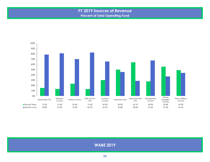## **FY 2019 Sources of Revenue Percent of Total Operating Fund**

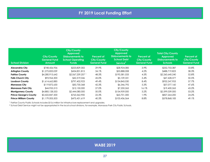# **FY 2019 Local Funding Effort**

<span id="page-26-0"></span>

| <b>School Division</b>        | City/County<br><b>General Fund</b><br>Amount | <b>City/County</b><br><b>Approved</b><br>Disbursements to<br><b>School Operating</b><br><b>Funds</b> | Percent of<br>City/County<br><b>General Fund</b> | <b>City/County</b><br><b>Approved</b><br>Disbursements to<br><b>School Debt</b><br>Service <sup>2</sup> | <b>Percent of</b><br>City/County<br><b>General Fund</b> | Total City/County<br><b>Approved</b><br>Disbursements to<br><b>Schools</b> | <b>Percent of</b><br>City/County<br><b>General Fund</b> |
|-------------------------------|----------------------------------------------|------------------------------------------------------------------------------------------------------|--------------------------------------------------|---------------------------------------------------------------------------------------------------------|---------------------------------------------------------|----------------------------------------------------------------------------|---------------------------------------------------------|
| <b>Alexandria City</b>        | \$748,426,936                                | \$223,829,302                                                                                        | 29.9%                                            | \$28,924,085                                                                                            | 3.9%                                                    | \$252,753,387                                                              | 33.8%                                                   |
| <b>Arlington County</b>       | \$1,275,833,059                              | \$434,831,815                                                                                        | 34.1%                                            | \$53,888,008                                                                                            | 4.2%                                                    | \$488,719,823                                                              | 38.3%                                                   |
| <b>Fairfax County</b>         | \$4,280,915,642                              | $$2,067,259,207$ <sup>1</sup>                                                                        | 48.3%                                            | \$193,381,033                                                                                           | 4.5%                                                    | \$2,260,640,240                                                            | 52.8%                                                   |
| <b>Falls Church City</b>      | \$93,964,300                                 | \$42,319,046                                                                                         | 45.0%                                            | \$5,109,331                                                                                             | 5.4%                                                    | \$47,428,377                                                               | 50.5%                                                   |
| <b>Loudoun County</b>         | \$1,614,662,885                              | \$797,402,923                                                                                        | 49.4%                                            | \$134,845,030                                                                                           | 8.4%                                                    | \$932,247,953                                                              | 57.7%                                                   |
| <b>Manassas City</b>          | \$119,872,630                                | \$50,730,368                                                                                         | 42.3%                                            | \$6,346,792                                                                                             | 5.3%                                                    | \$57,077,160                                                               | 47.6%                                                   |
| <b>Manassas Park City</b>     | \$44,955,513                                 | \$12,150,000                                                                                         | 27.0%                                            | \$7,250,265                                                                                             | 16.1%                                                   | \$19,400,265                                                               | 43.2%                                                   |
| <b>Montgomery County</b>      | \$4,885,128,553                              | \$2,444,080,000                                                                                      | 50.0%                                            | \$154,959,000                                                                                           | 3.2%                                                    | \$2,599,039,000                                                            | 53.2%                                                   |
| <b>Prince George's County</b> | \$3,422,847,500                              | \$763,562,900                                                                                        | 22.3%                                            | \$63,701,300                                                                                            | 1.9%                                                    | \$827,264,200                                                              | 24.2%                                                   |
| <b>Prince William County</b>  | \$1,179,005,503                              | \$475,431,619                                                                                        | 40.3%                                            | \$103,436,564                                                                                           | 8.8%                                                    | \$578,868,183                                                              | 49.1%                                                   |

1 Fairfax County Public Schools includes \$15.6 million for infrastructure replacement and upgrades.

2 School Debt Service might not be appropriated in the local school divisions, for example, Manassas Park City Public Schools.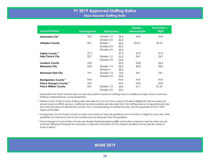## **FY 2019 Approved Staffing Ratios Base Teacher Staffing Ratio**

<span id="page-27-0"></span>

| <b>School Division</b>              | <b>Kindergarten</b> | <b>Elementary</b> |      | Middle /<br><b>Intermediate</b> | Secondary /<br><b>High</b> |
|-------------------------------------|---------------------|-------------------|------|---------------------------------|----------------------------|
| Alexandria City <sup>1</sup>        | 22.0                | Grades 1-2        | 24.0 | N/A                             | N/A                        |
|                                     |                     | Grades 3-5        | 26.0 |                                 |                            |
| <b>Arlington County</b>             | 23:1                | Grade 1           | 20.0 | 23.4:1                          | 25.4:1                     |
|                                     |                     | Grades 2-3        | 22.0 |                                 |                            |
|                                     |                     | Grades 4-5        | 23.0 |                                 |                            |
| Fairfax County <sup>2</sup>         | 27.3                |                   | 27.3 | 27.9                            | 31.0                       |
| <b>Falls Church City</b>            | 22:1                | Grades 1-2        | 22.0 | 24:1                            | 24:1                       |
|                                     |                     | Grades 3-5        | 24.0 |                                 |                            |
| <b>Loudoun County</b>               | 23.0                |                   | 23.0 | 23.8                            | 24.2                       |
| <b>Manassas City</b>                | 23.0                | Grades 1-3        | 23.0 | 28.0                            | 28.0                       |
|                                     |                     | Grades 4          | 28.0 |                                 |                            |
| <b>Manassas Park City</b>           | 19:1                | Grades 1-3        | 19.0 | 24:1                            | 24:1                       |
|                                     |                     | Grades 4-5        | 24.0 |                                 |                            |
| Montgomery County <sup>3</sup>      | N/A                 |                   | N/A  | N/A                             | N/A                        |
| Prince George's County <sup>4</sup> | N/A                 |                   | N/A  | N/A                             | N/A                        |
| <b>Prince William County</b>        | 24:1                | Grades 1-3        | 24.0 | 21:1                            | 21.3:1                     |
|                                     |                     | Grades 4-5        | 25.0 |                                 |                            |

<sup>1</sup> Alexandria City Public Schools does not allocate positions based on staffing ratios for middle and high school classrooms. Staffing is determined by course enrollment.

<sup>2</sup> Fairfax County Public Schools staffing ratios also take into account the number of students eligible for free and reduced priced meals and ESOL services. Additional teacher positions are allocated from the staffing reserve to help eliminate class size of 30 and above in elementary schools. For a complete listing of staffing formulas, see the appendix of the FY 2019 Approved Budget.

 $\rm^3$  Montgomery County Public Schools numbers are maximum class size guidelines and not ratios or targets for class sizes. With guidelines for maximums, the actual numbers end up being less than the guideline.

4 Prince George's County Public Schools uses Student Based Budgeting (SBB) and student-classroom teacher ratios are not instituted. SBB gives Principals the autonomy to allocate staff based on the students enrolled and the specific needs of those students.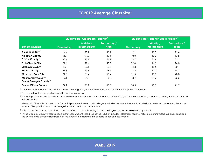<span id="page-28-0"></span>

|                                     | Students per Classroom Teacher <sup>2</sup> |                                 |                            | Students per Teacher-Scale Position <sup>3</sup> |                                 |                            |
|-------------------------------------|---------------------------------------------|---------------------------------|----------------------------|--------------------------------------------------|---------------------------------|----------------------------|
| <b>School Division</b>              | <b>Elementary</b>                           | Middle /<br><b>Intermediate</b> | Secondary /<br><b>High</b> | <b>Elementary</b>                                | Middle /<br><b>Intermediate</b> | Secondary /<br><b>High</b> |
| Alexandria City <sup>4</sup>        | 14.4                                        | 25.7                            | 21.7                       | 9.1                                              | 15.8                            | 11.4                       |
| <b>Arlington County</b>             | 21.0                                        | 20.9                            | 19.6                       | 10.2                                             | 16.7                            | 16.8                       |
| Fairfax County <sup>5</sup>         | 22.6                                        | 25.1                            | 25.9                       | 14.7                                             | 20.8                            | 21.3                       |
| <b>Falls Church City</b>            | 22.6                                        | 22.4                            | 22.5                       | 12.0                                             | 16.1                            | 14.0                       |
| <b>Loudoun County</b>               | 22.7                                        | 22.1                            | 23.8                       | 14.3                                             | 18.5                            | 20.1                       |
| <b>Manassas City</b>                | 21.8                                        | 25.6                            | 26.5                       | 11.2                                             | 17.2                            | 18.7                       |
| <b>Manassas Park City</b>           | 21.5                                        | 26.4                            | 28.4                       | 11.5                                             | 19.5                            | 20.8                       |
| <b>Montgomery County</b>            | 19.1                                        | 25.0                            | 26.4                       | 13.7                                             | 21.7                            | 23.5                       |
| Prince George's County <sup>6</sup> |                                             |                                 |                            |                                                  |                                 |                            |
| <b>Prince William County</b>        | 22.1                                        | 28.1                            | 29.3                       | 14.5                                             | 20.5                            | 21.7                       |

1 Chart excludes teachers and students in Pre-K, kindergarten, alternative schools, and self-contained special education.

2 Classroom teachers are positions used to determine class size.

3 Students per teacher-scale positions include classroom teachers and other teachers such as ESOL/ESL, librarians, reading, coaches, mentors, music, art, physical education, etc.

4 Alexandria City Public Schools district's special placement, Pre-K, and kindergarten student enrollments are not included. Elementary classroom teacher count includes "flex" positions which are categorized as student improvement FTEs.

5 Fairfax County Public Schools district does not reflect additional funding to alleviate large class size in the elementary schools.

<sup>6</sup> Prince George's County Public Schools district uses Student Based Budgeting (SBB) and student-classroom teacher ratios are not instituted. SBB gives principals the autonomy to allocate staff based on the students enrolled and the specific needs of those students.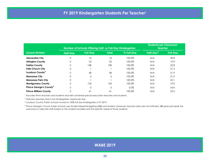<span id="page-29-0"></span>

|                                     |                 | Number of Schools Offering Half- or Full-Day Kindergarten | <b>Students per Classroom</b><br><b>Teacher</b> |            |                       |                 |
|-------------------------------------|-----------------|-----------------------------------------------------------|-------------------------------------------------|------------|-----------------------|-----------------|
| <b>School Division</b>              | <b>Half-Day</b> | <b>Full-Day</b>                                           | <b>Total</b>                                    | % Full-Day | Half-Day <sup>2</sup> | <b>Full-Day</b> |
| <b>Alexandria City</b>              | 0               | 14                                                        | 14                                              | 100.0%     | N/A                   | 20.8            |
| <b>Arlington County</b>             | 0               | 23                                                        | 23                                              | 100.0%     | N/A                   | 19.9            |
| <b>Fairfax County</b>               | 0               | 138                                                       | 138                                             | 100.0%     | N/A                   | 22.8            |
| <b>Falls Church City</b>            | 0               |                                                           |                                                 | 100.0%     | N/A                   | 21.2            |
| Loudoun County <sup>3</sup>         | 0               | 58                                                        | 58                                              | 100.0%     | N/A                   | 21.9            |
| <b>Manassas City</b>                | 0               | 5                                                         | 5                                               | 100.0%     | N/A                   | 21.0            |
| <b>Manassas Park City</b>           | 0               |                                                           |                                                 | 100.0%     | N/A                   | 22.1            |
| <b>Montgomery County</b>            | 0               | 134                                                       | 134                                             | 100.0%     | N/A                   | 19.0            |
| Prince George's County <sup>4</sup> | 0               | $\Omega$                                                  | 0                                               | $0.0\%$    | N/A                   | N/A             |
| <b>Prince William County</b>        | 0               | 61                                                        | 61                                              | 100.0%     | N/A                   | 22.2            |

1 Excludes Pre-K teachers and students and self-contained special education teachers and students.

 $2$  Half-day teachers teach two kindergarten classes per day.

3 Loudoun County Public Schools moved to 100% full day kindergarten in FY 2019.

4 Prince George's County Public Schools uses Student Based Budgeting (SBB) and student-classroom teacher ratios are not instituted. SBB gives principals the autonomy to allocate staff based on the students enrolled and the specific needs of those students.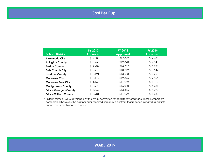# **Cost Per Pupil1**

<span id="page-30-0"></span>

|                               | <b>FY 2017</b>  | <b>FY 2018</b>  | <b>FY 2019</b>  |
|-------------------------------|-----------------|-----------------|-----------------|
| <b>School Division</b>        | <b>Approved</b> | <b>Approved</b> | <b>Approved</b> |
| <b>Alexandria City</b>        | \$17,008        | \$17,099        | \$17,606        |
| <b>Arlington County</b>       | \$18,957        | \$19,340        | \$19,348        |
| <b>Fairfax County</b>         | \$14,432        | \$14,767        | \$15,293        |
| <b>Falls Church City</b>      | \$18,418        | \$18,219        | \$18,544        |
| <b>Loudoun County</b>         | \$13,121        | \$13,688        | \$14,260        |
| <b>Manassas City</b>          | \$13,112        | \$12,846        | \$12,855        |
| <b>Manassas Park City</b>     | \$11,158        | \$11,242        | \$11,113        |
| <b>Montgomery County</b>      | \$15,975        | \$16,030        | \$16,281        |
| <b>Prince George's County</b> | \$13,869        | \$13,816        | \$14,093        |
| <b>Prince William County</b>  | \$10,981        | \$11,222        | \$11,633        |

<sup>1</sup> Uniform formulas were developed by the WABE committee for consistency area wide. These numbers are comparable; however, the cost per pupil reported here may differ from that reported in individual districts' budget documents or other reports.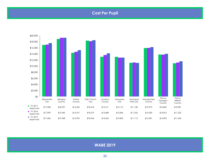# **Cost Per Pupil**

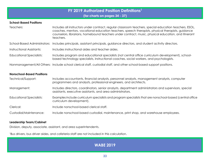## **FY 2019 Authorized Position Definitions<sup>1</sup>**

**(for charts on pages 34 - 37)**

#### <span id="page-32-0"></span>**School-Based Positions**

| Teachers:                        | Includes all instructors under contract, regular classroom teachers, special education teachers, ESOL,<br>coaches, mentors, vocational education teachers, speech therapists, physical therapists, guidance<br>counselors, librarians, homebound teachers under contract, music, physical education, and itinerant<br>teachers. |
|----------------------------------|---------------------------------------------------------------------------------------------------------------------------------------------------------------------------------------------------------------------------------------------------------------------------------------------------------------------------------|
|                                  | School-Based Administrators: Includes principals, assistant principals, guidance directors, and student activity directors.                                                                                                                                                                                                     |
| <b>Instructional Assistants:</b> | Includes instructional aides and teacher aides.                                                                                                                                                                                                                                                                                 |
| <b>Educational Specialists:</b>  | Includes program and educational specialists (not central office curriculum development), school-<br>based technology specialists, instructional coaches, social workers, and psychologists.                                                                                                                                    |
|                                  | Nonmanagement/All Others: Include school clerical staff, custodial staff, and other school-based support positions.                                                                                                                                                                                                             |
|                                  |                                                                                                                                                                                                                                                                                                                                 |

#### **Nonschool-Based Positions**

| Technical/Support:       | Includes accountants, financial analysts, personnel analysts, management analysts, computer<br>programmers and analysts, professional engineers, and architects.    |
|--------------------------|---------------------------------------------------------------------------------------------------------------------------------------------------------------------|
| Management:              | Includes directors, coordinators, senior analysts, department administrators and supervisors, special<br>assistants, executive assistants, and area administrators. |
| Educational Specialists: | Examples include curriculum specialists and program specialists that are nonschool-based (central office)<br>curriculum development).                               |
| Clerical:                | Include nonschool-based clerical staff.                                                                                                                             |
| Custodial/Maintenance:   | Include nonschool-based custodial, maintenance, print shop, and warehouse employees.                                                                                |

#### **Leadership Team/Cabinet**

Division, deputy, associate, assistant, and area superintendents.

1 Bus drivers, bus driver aides, and cafeteria staff are not included in this calculation.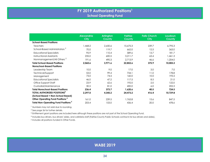<span id="page-33-0"></span>

|                                                       | <b>Alexandria</b><br><b>City</b> | <b>Arlington</b><br><b>County</b> | <b>Fairfax</b><br><b>County</b> | <b>Falls Church</b><br><b>City</b> | Loudoun<br><b>County</b> |
|-------------------------------------------------------|----------------------------------|-----------------------------------|---------------------------------|------------------------------------|--------------------------|
| <b>School-Based Positions</b>                         |                                  |                                   |                                 |                                    |                          |
| <b>Teachers</b>                                       | 1,468.2                          | 2,650.6                           | 15,675.3                        | 239.7                              | 6,795.3                  |
| School-Based Administrators <sup>2</sup>              | 70.0                             | 119.7                             | 662.0                           | 12.5                               | 363.0                    |
| <b>Educational Specialists</b>                        | 95.9                             | 110.4                             | 589.6                           | 13.7                               | 181.7                    |
| Instructional Assistants                              | 235.0                            | 600.5                             | 3,211.7                         | 63.4                               | 1,461.3                  |
| Nonmanagement/All Others <sup>2</sup>                 | 191.6                            | 490.3                             | 2.713.9                         | 46.6                               | 1,204.0                  |
| <b>Total School-Based Positions</b>                   | 2,060.6                          | 3,971.6                           | 22,852.6                        | 375.9                              | 10,005.2                 |
| <b>Nonschool-Based Positions</b>                      |                                  |                                   |                                 |                                    |                          |
| Leadership Team                                       | 10.0                             | 9.0                               | 17.0                            | 3.0                                | 7.0                      |
| Technical/Support                                     | 53.0                             | 99.4                              | 734.1                           | 11.0                               | 178.8                    |
| Management                                            | 73.0                             | 74.5                              | 160.0                           | 10.0                               | 193.5                    |
| <b>Educational Specialists</b>                        | 46.0                             | 47.2                              | 117.5                           | 8.5                                | 21.0                     |
| Office Support Staff                                  | 23.9                             | 62.6                              | 192.0                           | 2.0                                | 122.0                    |
| Custodial/Maintenance                                 | 30.5                             | 81.0                              | 400.0                           | 6.0                                | 202.3                    |
| <b>Total Nonschool-Based Positions</b>                | 236.4                            | 373.7                             | 1,620.6                         | 40.5                               | 724.5                    |
| TOTAL AUTHORIZED POSITIONS <sup>3</sup>               | 2,297.0                          | 4,345.2                           | 24,473.2                        | 416.4                              | 10,729.8                 |
| (School Based + Non-School Based)                     |                                  |                                   |                                 |                                    |                          |
| Other Operating Fund Positions <sup>4</sup>           | 161.0                            | 239.5                             | 1,763.8                         | 15.6                               | 847.5                    |
| <b>Total Non-Operating Fund Positions<sup>5</sup></b> | 203.4                            | 153.0                             | 436.4                           | 20.0                               | 478.6                    |

<sup>1</sup> Numbers may not add due to rounding.

2 See page 36 for further details.

3 Entitlement grant positions are included here although these positions are not part of the School Operating Fund.

4 Includes bus drivers, bus drivers' aides, and cafeteria staff (Fairfax County Public Schools contracts for bus drivers and aides).

5 Includes all positions funded in Other Funds.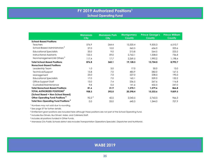|                                                       | <b>Manassas</b><br><b>City</b> | <b>Manassas Park</b><br><b>City</b> | <b>Montgomery</b><br><b>County</b> | <b>Prince George's</b><br><b>County</b> | <b>Prince William</b><br><b>County</b> |
|-------------------------------------------------------|--------------------------------|-------------------------------------|------------------------------------|-----------------------------------------|----------------------------------------|
| <b>School-Based Positions</b>                         |                                |                                     |                                    |                                         |                                        |
| <b>Teachers</b>                                       | 576.9                          | 264.4                               | 13,320.4                           | 9,505.3                                 | 6,510.7                                |
| School-Based Administrators <sup>2</sup>              | 27.0                           | 10.0                                | 562.5                              | 656.0                                   | 323.6                                  |
| <b>Educational Specialists</b>                        | 33.0                           | 9.0                                 | 213.8                              | 264.5                                   | 223.2                                  |
| Instructional Assistants                              | 122.5                          | 59.0                                | 2,762.1                            | 1,338.0                                 | 736.8                                  |
| Nonmanagement/All Others <sup>2</sup>                 | 117.4                          | 17.7                                | 2,269.5                            | 1,990.2                                 | 1,198.4                                |
| <b>Total School-Based Positions</b>                   | 876.8                          | 360.1                               | 19,128.3                           | 13,754.0                                | 8,992.7                                |
| <b>Nonschool-Based Positions</b>                      |                                |                                     |                                    |                                         |                                        |
| Leadership Team                                       | 1.0                            | 3.0                                 | 17.0                               | 30.0                                    | 13.0                                   |
| Technical/Support                                     | 15.8                           | 7.0                                 | 485.9                              | 282.0                                   | 167.5                                  |
| Management                                            | 25.0                           | 7.0                                 | 227.0                              | 238.5                                   | 190.3                                  |
| <b>Educational Specialists</b>                        | 17.0                           | 7.0                                 | 162.1                              | 329.0                                   | 132.2                                  |
| Office Support Staff                                  | 13.0                           | 7.4                                 | 236.5                              | 267.6                                   | 116.8                                  |
| Custodial/Maintenance                                 | 9.8                            | 0.5                                 | 141.6                              | 432.5                                   | 247.0                                  |
| <b>Total Nonschool-Based Positions</b>                | 81.6                           | 31.9                                | 1,270.1                            | 1,579.6                                 | 866.8                                  |
| TOTAL AUTHORIZED POSITIONS <sup>3</sup>               | 958.3                          | 392.0                               | 20,398.4                           | 15,333.6                                | 9,859.5                                |
| (School Based + Non-School Based)                     |                                |                                     |                                    |                                         |                                        |
| Other Operating Fund Positions <sup>4</sup>           | 92.2 <sup>6</sup>              | 42.0                                | 2,043.5                            | 2,763.3                                 | 966.3                                  |
| <b>Total Non-Operating Fund Positions<sup>5</sup></b> | 0.0                            | 33.0                                | 640.3                              | 1,344.0                                 | 707.9                                  |

1 Numbers may not add due to rounding.

2 See page 37 for further details.

3 Entitlement grant positions are included here although these positions are not part of the School Operating Fund.

4 Includes Bus Drivers, Bus Drivers' Aides, and Cafeteria Staff.

5 Includes all positions funded in Other Funds.

6 Manassas City Public Schools district also includes Transportation Operations Specialist, Dispatcher and Nutritionist.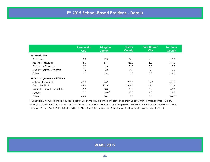<span id="page-35-0"></span>

|                                   | <b>Alexandria</b><br><b>City</b> | <b>Arlington</b><br><b>County</b> | <b>Fairfax</b><br><b>County</b> | <b>Falls Church</b><br><b>City</b> | <b>Loudoun</b><br><b>County</b> |
|-----------------------------------|----------------------------------|-----------------------------------|---------------------------------|------------------------------------|---------------------------------|
| <b>Administrators</b>             |                                  |                                   |                                 |                                    |                                 |
| Principals                        | 18.0                             | 39.0                              | 199.0                           | 4.0                                | 93.0                            |
| <b>Assistant Principals</b>       | 48.0                             | 53.5                              | 383.0                           | 6.0                                | 139.0                           |
| Guidance Directors                | 3.0                              | 9.0                               | 54.0                            | 1.5                                | 17.0                            |
| <b>Student Activity Directors</b> | 1.0                              | 3.0                               | 25.0                            | 1.0                                | 0.0                             |
| Other                             | 0.0                              | 15.2                              | 1.0                             | 0.0                                | 114.0                           |
| Nonmanagement / All Others        |                                  |                                   |                                 |                                    |                                 |
| School Office Staff               | 59.9                             | 196.9                             | 986.6                           | 15.9                               | 440.5                           |
| <b>Custodial Staff</b>            | 49.5                             | 214.0                             | 1,374.5                         | 25.0                               | 591.8                           |
| Noninstructional Specialists      | 0.0                              | 30.8                              | 190.8                           | 1.0                                | 43.0                            |
| Security                          | 20.0                             | 18.0 <sup>2</sup>                 | 162.0                           | 1.0                                | 26.0                            |
| Other                             | 62.2                             | 30.6                              | 0.0                             | 3.5                                | 102.7 <sup>3</sup>              |

<sup>1</sup> Alexandria City Public Schools includes Registrar, Library Media Assistant, Technician, and Parent Liaison within Nonmanagement (Other).

 $^2$  Arlington County Public Schools has 18 School Resource Assistants. Additional security is provided by the Arlington County Police Department.

3 Loudoun County Public Schools includes Health Clinic Specialists, Nurses, and School Nurse Assistants in Nonmanagement (Other).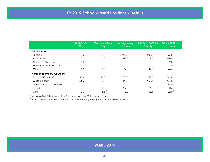|                                   | <b>Manassas</b><br><b>City</b> | <b>Manassas Park</b><br><b>City</b> | <b>Montgomery</b><br><b>County</b> | <b>Prince George's</b><br><b>County</b> | <b>Prince William</b><br><b>County</b> |
|-----------------------------------|--------------------------------|-------------------------------------|------------------------------------|-----------------------------------------|----------------------------------------|
| <b>Administrators</b>             |                                |                                     |                                    |                                         |                                        |
| Principals                        | 9.0                            | 4.0                                 | 208.5                              | 203.0                                   | 95.0                                   |
| <b>Assistant Principals</b>       | 15.0                           | 5.0                                 | 320.0                              | 311.0                                   | 140.0                                  |
| Guidance Directors                | 0.0                            | 0.0                                 | 0.0                                | 0.0                                     | 32.0                                   |
| <b>Student Activity Directors</b> | 1.0                            | 1.0                                 | 0.0                                | 0.0                                     | 12.0                                   |
| Other                             | 2.0                            | 0.0                                 | 34.0                               | 142.0                                   | 44.6                                   |
| Nonmanagement / All Others        |                                |                                     |                                    |                                         |                                        |
| School Office Staff               | 57.9                           | 12.2                                | 701.5                              | 550.5                                   | 542.6                                  |
| Custodial Staff                   | 54.5                           | 0.0                                 | 1,341.0                            | 957.6                                   | 477.2                                  |
| Noninstructional Specialists      | 0.0                            | 0.0                                 | 0.0                                | 0.0                                     | 96.0                                   |
| Security                          | 5.0                            | 0.0                                 | 227.0                              | 26.0                                    | 60.6                                   |
| Other                             | 0.0                            | 5.5                                 | 0.0                                | 456.1                                   | $22.0^2$                               |

<sup>1</sup> Manassas Park City Schools district's Nonmanagement (Other) includes Nurses.

<sup>2</sup> Prince William County Public Schools district's Nonmanagement (Other) includes Parent Liaisons.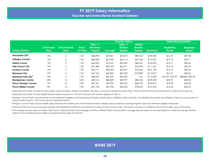<span id="page-37-0"></span>

|                                       |                                 |                                   |                                | <b>Instructional Assistant</b><br><b>Teacher Salary</b> |                            |                                        |                                                  |                |                                   |                                 |
|---------------------------------------|---------------------------------|-----------------------------------|--------------------------------|---------------------------------------------------------|----------------------------|----------------------------------------|--------------------------------------------------|----------------|-----------------------------------|---------------------------------|
| <b>School Division</b>                | <b>Scheduled</b><br><b>Days</b> | <b>Unscheduled</b><br><b>Days</b> | <b>Hours</b><br><b>Per Day</b> | Step $1 +$<br><b>Bachelors</b><br><b>Degree</b>         | <b>Average<sup>°</sup></b> | Step $1 +$<br><b>Masters</b><br>Degree | <b>Middle</b><br><b>Masters</b><br><b>Degree</b> | <b>Maximum</b> | <b>Beginning</b><br><b>Hourly</b> | <b>Maximum</b><br><b>Hourly</b> |
| Alexandria City                       | 196                             | $\mathbf 0$                       | 7.25                           | \$48,894                                                | \$78,461                   | \$55,813                               | $$82,463$ <sup>2</sup>                           | \$109,403      | \$16.75                           | \$29.38                         |
| Arlington County <sup>3</sup>         | 194                             | 6                                 | 7.50                           | \$48,228                                                | \$81,042                   | \$53,173                               | $$95,346$ <sup>4</sup>                           | \$113,207      | \$17.18                           | \$34.71                         |
| <b>Fairfax County</b>                 | 194                             | $\mathbf 0$                       | 7.50                           | \$50,000                                                | \$75,657                   | \$55,000                               | \$84,241                                         | \$104,269      | \$15.71                           | \$28.36                         |
| <b>Falls Church City</b>              | 194                             | 6                                 | 7.50                           | \$51,088                                                | \$69,765                   | \$56,671                               | \$76,024                                         | \$111,261      | \$16.18                           | \$29.79                         |
| <b>Loudoun County</b>                 | 194                             | 3                                 | 7.00                           | \$50,171                                                | \$68,694                   | \$55,941                               | \$74,604                                         | \$107,139      | \$16.10                           | \$30.23                         |
| <b>Manassas City</b>                  | 195                             | 5                                 | 7.50                           | \$47,724                                                | \$69,860                   | \$53,353                               | \$73,889                                         | \$113,813      | \$16.10                           | \$28.26                         |
| <b>Manassas Park City<sup>5</sup></b> | 194                             | 6                                 | 7.50                           | \$48,060                                                | \$62,529                   | \$54,060                               | n/a                                              | \$112,030      | \$16.99 / \$19.67                 | \$28.88 / \$33.44               |
| <b>Montgomery County</b>              | 200                             | 12                                | 8.00                           | \$49,013                                                | \$82,809                   | \$53,997                               | \$80,106                                         | \$109,449      | \$18.79                           | \$32.22                         |
| <b>Prince George's County</b>         | 192                             | 8                                 | 7.50                           | \$47,781                                                | \$69,905                   | \$52,679                               | \$68,735                                         | \$103,819      | \$12.58                           | \$36.38                         |
| <b>Prince William County</b>          | 181                             | 14                                | 7.00                           | \$47,724                                                | \$67,944                   | \$53,353                               | \$78,874                                         | \$121,872      | \$15.26                           | \$34.95                         |

<sup>1</sup> Alexandria City Public Schools has three salary scales: Bachelor, Master, and Master +30 years. Instructional assistants include Para I, Para II and Para III and are scheduled to work 6.8 hours per day.

2 Alexandria City Public Schools middle teacher salary is based on a 10 month teacher with master's degree on step 12.

 $^3$  Arlington County Public Schools salaries for non-retirement eligible and Advancement Program (CAP) follow a different salary schedule. For detailed information see Arlington Public Schools pay plan on using the following link: http://www.apsva.us/payroll-overview.

4 Arlington County Public Schools middle salary indicates the middle point of the teacher master's degree salary schedule (including longevity steps) for retirement eligible employees.

 $^5$  Manassas Park City Schools uses salary grades with established maximums and minimums instead of step an lane scales. Placement is based on multiple factors and not solely years of teaching.

<sup>6</sup> The average teacher salary for Fairfax, Falls Church, Manassas Park, Prince George and Prince William Public Schools reflects average teacher salary for the operating fund, while the average teacher salary for the remaining divisions reflects average teacher salary for all funds.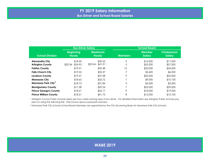<span id="page-38-0"></span>

|                                                   | <b>Bus Driver Salary</b>          |                                 | <b>School Board</b> |                                |                                     |  |
|---------------------------------------------------|-----------------------------------|---------------------------------|---------------------|--------------------------------|-------------------------------------|--|
| <b>School Division</b>                            | <b>Beginning</b><br><b>Hourly</b> | <b>Maximum</b><br><b>Hourly</b> | <b>Members</b>      | <b>Member</b><br><b>Salary</b> | <b>Chairperson</b><br><b>Salary</b> |  |
| <b>Alexandria City</b><br><b>Arlington County</b> | \$18.30<br>$$20.34 - $24.95$      | \$30.25<br>$$33.54 - $41.01$    | 9<br>5              | \$15,000<br>\$25,000           | \$17,000<br>\$27,000                |  |
| <b>Fairfax County</b>                             | \$19.01                           | \$33.48                         | 12                  | \$32,000                       | \$34,000                            |  |
| <b>Falls Church City</b>                          | \$19.52                           | \$35.37                         |                     | \$3,600                        | \$6,000                             |  |
| <b>Loudoun County</b>                             | \$19.57                           | \$37.08                         | 9                   | \$20,000                       | \$22,000                            |  |
| <b>Manassas City</b>                              | \$18.63                           | \$32.72                         | 7                   | \$9,000                        | \$10,100                            |  |
| <b>Manassas Park City<sup>2</sup></b>             | \$18.73                           | \$31.84                         | 5                   | \$3,000                        | \$3,500                             |  |
| <b>Montgomery County</b>                          | \$17.28                           | \$29.24                         | 7                   | \$25,000                       | \$29,000                            |  |
| <b>Prince George's County</b>                     | \$18.41                           | \$35.17                         | 9                   | \$18,000                       | \$19,000                            |  |
| <b>Prince William County</b>                      | \$18.21                           | \$41.72                         | 8                   | \$12,000                       | \$13,100                            |  |

<sup>1</sup> Arlington County Public Schools salary per hour varies among type of bus driver. For detailed information see Arlington Public Schools pay plan on using the following link: http://www.apsva.us/payroll-overview.

<sup>2</sup> Manassas Park City Schools School Board Members are appointed by the City Governing Body for Manassas Park City Schools.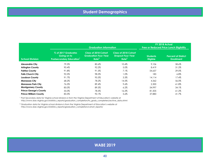# **Student Demographics**

<span id="page-39-0"></span>

|                               |                                                                       | <b>Graduation Information</b>                                                   | FY 2018 Actual<br>Free or Reduced Price Lunch Eligibility                    |                                    |                                                 |
|-------------------------------|-----------------------------------------------------------------------|---------------------------------------------------------------------------------|------------------------------------------------------------------------------|------------------------------------|-------------------------------------------------|
| <b>School Division</b>        | % of 2017 Graduates<br>Going on to<br><b>Postsecondary Education'</b> | <b>Class of 2018 Cohort</b><br><b>Graduation Four-Year</b><br>Rate <sup>2</sup> | <b>Class of 2018 Cohort</b><br><b>Dropout Four-Year</b><br>Rate <sup>2</sup> | <b>Students</b><br><b>Eligible</b> | <b>Percent of District</b><br><b>Enrollment</b> |
| <b>Alexandria City</b>        | 79.5%                                                                 | 80.6%                                                                           | 10.4%                                                                        | 9.106                              | 58.6%                                           |
| <b>Arlington County</b>       | 90.4%                                                                 | 92.2%                                                                           | 5.0%                                                                         | 8.419                              | 31.2%                                           |
| <b>Fairfax County</b>         | 91.8%                                                                 | 91.5%                                                                           | 7.1%                                                                         | 54,657                             | 29.0%                                           |
| <b>Falls Church City</b>      | 92.5%                                                                 | 98.5%                                                                           | $1.0\%$                                                                      | 183                                | $6.8\%$                                         |
| <b>Loudoun County</b>         | 91.7%                                                                 | 95.5%                                                                           | 3.3%                                                                         | 14.114                             | 17.4%                                           |
| <b>Manassas City</b>          | 68.2%                                                                 | 78.2%                                                                           | 14.5%                                                                        | 4,362                              | 56.0%                                           |
| <b>Manassas Park City</b>     | 76.5%                                                                 | 89.4%                                                                           | 9.6%                                                                         | 2,300                              | 61.8%                                           |
| <b>Montgomery County</b>      | 85.0%                                                                 | 89.5%                                                                           | $6.2\%$                                                                      | 54,997                             | 34.1%                                           |
| <b>Prince George's County</b> | 55.0%                                                                 | 78.5%                                                                           | 16.2%                                                                        | 81,505                             | 61.2%                                           |
| <b>Prince William County</b>  | 83.5%                                                                 | 92.1%                                                                           | 5.6%                                                                         | 37,883                             | 41.7%                                           |

1 Post Secondary data for Virginia school divisions is from the Virginia Department of Education's website at

http://www.doe.virginia.gov/statistics\_reports/graduation\_completion/hs\_grads\_completers/archive\_data.shtml

2 Graduation data for Virginia school divisions is from the Virginia Department of Education's website at http://www.doe.virginia.gov/statistics\_reports/graduation\_completion/cohort\_reports/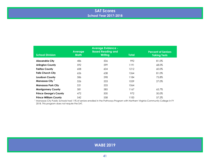## **SAT Scores School Year 2017-2018**

<span id="page-40-0"></span>

| <b>School Division</b>        | <b>Average</b><br><b>Math</b> | <b>Average Evidence -</b><br><b>Based Reading and</b><br>Writing | <b>Total</b> | <b>Percent of Seniors</b><br><b>Taking Tests</b> |
|-------------------------------|-------------------------------|------------------------------------------------------------------|--------------|--------------------------------------------------|
| <b>Alexandria City</b>        | 486                           | 506                                                              | 992          | 81.0%                                            |
| <b>Arlington County</b>       | 592                           | 599                                                              | 1191         | 68.0%                                            |
| <b>Fairfax County</b>         | 608                           | 604                                                              | 1212         | 60.0%                                            |
| <b>Falls Church City</b>      | 626                           | 638                                                              | 1264         | 81.0%                                            |
| <b>Loudoun County</b>         | 586                           | 598                                                              | 1184         | 75.8%                                            |
| Manassas City <sup>1</sup>    | 526                           | 533                                                              | 1059         | 27.0%                                            |
| <b>Manassas Park City</b>     | 531                           | 533                                                              | 1064         |                                                  |
| <b>Montgomery County</b>      | 581                           | 585                                                              | 1167         | 65.7%                                            |
| <b>Prince George's County</b> | 472                           | 500                                                              | 972          | 50.0%                                            |
| <b>Prince William County</b>  | 542                           | 558                                                              | 1100         | 57.2%                                            |

<sup>1</sup> Manassas City Public Schools had 11% of seniors enrolled in the Pathways Program with Northern Virginia Community College in FY 2018. This program does not require the SAT.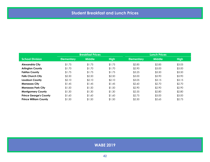<span id="page-41-0"></span>

|                               | <b>Breakfast Prices</b> |               |             |                   | <b>Lunch Prices</b> |             |
|-------------------------------|-------------------------|---------------|-------------|-------------------|---------------------|-------------|
| <b>School Division</b>        | <b>Elementary</b>       | <b>Middle</b> | <b>High</b> | <b>Elementary</b> | <b>Middle</b>       | <b>High</b> |
| <b>Alexandria City</b>        | \$1.75                  | \$1.75        | \$1.75      | \$2.85            | \$2.85              | \$3.05      |
| <b>Arlington County</b>       | \$1.70                  | \$1.70        | \$1.70      | \$2.90            | \$3.00              | \$3.00      |
| <b>Fairfax County</b>         | \$1.75                  | \$1.75        | \$1.75      | \$3.25            | \$3.50              | \$3.50      |
| <b>Falls Church City</b>      | \$2.50                  | \$2.50        | \$2.50      | \$3.00            | \$3.90              | \$3.90      |
| Loudoun County                | \$2.10                  | \$2.10        | \$2.10      | \$3.05            | \$3.15              | \$3.15      |
| <b>Manassas City</b>          | \$1.45                  | \$1.45        | \$1.45      | \$2.60            | \$2.70              | \$2.70      |
| <b>Manassas Park City</b>     | \$1.50                  | \$1.50        | \$1.50      | \$2.90            | \$2.90              | \$2.90      |
| <b>Montgomery County</b>      | \$1.30                  | \$1.30        | \$1.30      | \$2.55            | \$2.80              | \$2.80      |
| <b>Prince George's County</b> | \$1.60                  | \$1.60        | \$1.60      | \$2.75            | \$3.00              | \$3.00      |
| <b>Prince William County</b>  | \$1.50                  | \$1.50        | \$1.50      | \$2.50            | \$2.65              | \$2.75      |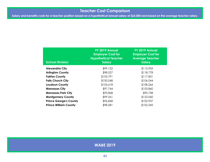# **Teacher Cost Comparison**

<span id="page-42-0"></span>**Salary and benefits costs for a teacher position based on a hypothetical annual salary of \$65,000 and based on the average teacher salary.**

| <b>School Division</b>        | FY 2019 Annual<br><b>Employer Cost for</b><br><b>Hypothetical Teacher</b><br><b>Salary</b> | FY 2019 Annual<br><b>Employer Cost for</b><br><b>Average Teacher</b><br><b>Salary</b> |
|-------------------------------|--------------------------------------------------------------------------------------------|---------------------------------------------------------------------------------------|
| <b>Alexandria City</b>        | \$99,122                                                                                   | \$115,955                                                                             |
| <b>Arlington County</b>       | \$98,527                                                                                   | \$118,778                                                                             |
| <b>Fairfax County</b>         | \$103,791                                                                                  | \$117,831                                                                             |
| <b>Falls Church City</b>      | \$100,048                                                                                  | \$106,044                                                                             |
| <b>Loudoun County</b>         | \$103,618                                                                                  | \$108,266                                                                             |
| <b>Manassas City</b>          | \$97,744                                                                                   | \$103,860                                                                             |
| <b>Manassas Park City</b>     | \$93,868                                                                                   | \$90,758                                                                              |
| <b>Montgomery County</b>      | \$99,261                                                                                   | \$122,060                                                                             |
| <b>Prince George's County</b> | \$96,868                                                                                   | \$102,937                                                                             |
| <b>Prince William County</b>  | \$98,581                                                                                   | \$102,345                                                                             |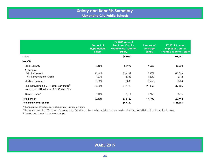<span id="page-43-0"></span>

|                                                                                                 | <b>Percent of</b><br><b>Hypothetical</b><br><b>Salary</b> | FY 2019 Annual<br><b>Employer Cost for</b><br><b>Hypothetical Teacher</b><br><b>Salary</b> | <b>Percent of</b><br><b>Average</b><br>Salary | FY 2019 Annual<br><b>Employer Cost for</b><br><b>Average Teacher Salary</b> |
|-------------------------------------------------------------------------------------------------|-----------------------------------------------------------|--------------------------------------------------------------------------------------------|-----------------------------------------------|-----------------------------------------------------------------------------|
| Salary                                                                                          |                                                           | \$65,000                                                                                   |                                               | \$78,461                                                                    |
| Benefits <sup>1</sup>                                                                           |                                                           |                                                                                            |                                               |                                                                             |
| Social Security                                                                                 | 7.65%                                                     | \$4,973                                                                                    | 7.65%                                         | \$6,002                                                                     |
| Retirement<br><b>VRS Retirement</b><br><b>VRS Retiree Health Credit</b>                         | 15.68%<br>1.20%                                           | \$10,192<br>\$780                                                                          | 15.68%<br>1.20%                               | \$12,303<br>\$942                                                           |
| VRS Life Insurance                                                                              | 0.52%                                                     | \$338                                                                                      | 0.52%                                         | \$408                                                                       |
| Health Insurance: POS - Family Coverage <sup>2</sup><br>Name: United Healthcare POS Choice Plus | 26.35%                                                    | \$17,125                                                                                   | 21.83%                                        | \$17,125                                                                    |
| Dental/Vision <sup>3</sup>                                                                      | 1.10%                                                     | \$714                                                                                      | 0.91%                                         | \$714                                                                       |
| <b>Total Benefits</b>                                                                           | 52.49%                                                    | \$34,122                                                                                   | 47.79%                                        | \$37,494                                                                    |
| <b>Total Salary and Benefits</b>                                                                |                                                           | \$99,122                                                                                   |                                               | \$115,955                                                                   |

<sup>2</sup> The highest cost plan (POS) is used for consistency. This is the most expensive and does not necessarily reflect the plan with the highest participation rate.

<sup>3</sup> Dental costs is based on family coverage.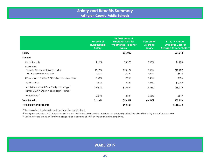<span id="page-44-0"></span>

|                                                                                               | <b>Percent of</b><br><b>Hypothetical</b><br><b>Salary</b> | FY 2019 Annual<br><b>Employer Cost for</b><br><b>Hypothetical Teacher</b><br><b>Salary</b> | <b>Percent of</b><br>Average<br>Salary | FY 2019 Annual<br><b>Employer Cost for</b><br><b>Average Teacher Salary</b> |
|-----------------------------------------------------------------------------------------------|-----------------------------------------------------------|--------------------------------------------------------------------------------------------|----------------------------------------|-----------------------------------------------------------------------------|
| Salary                                                                                        |                                                           | \$65,000                                                                                   |                                        | \$81,042                                                                    |
| Benefits <sup>1</sup>                                                                         |                                                           |                                                                                            |                                        |                                                                             |
| Social Security                                                                               | 7.65%                                                     | \$4,973                                                                                    | 7.65%                                  | \$6,200                                                                     |
| Retirement<br>Virginia Retirement System (VRS)<br><b>VRS Retiree Health Credit</b>            | 15.68%<br>1.20%                                           | \$10,192<br>\$780                                                                          | 15.68%<br>1.20%                        | \$12,707<br>\$973                                                           |
| 401(a) match 0.4% or \$240, whichever is greater                                              | 0.40%                                                     | \$260                                                                                      | 0.40%                                  | \$324                                                                       |
| Life Insurance                                                                                | 1.31%                                                     | \$852                                                                                      | 1.31%                                  | \$1,062                                                                     |
| Health Insurance: POS - Family Coverage <sup>2</sup><br>Name: CIGNA Open Access High - Family | 24.50%                                                    | \$15,922                                                                                   | 19.65%                                 | \$15,922                                                                    |
| Dental/Vision <sup>3</sup>                                                                    | 0.84%                                                     | \$549                                                                                      | 0.68%                                  | \$549                                                                       |
| <b>Total Benefits</b>                                                                         | 51.58%                                                    | \$33,527                                                                                   | 46.56%                                 | \$37,736                                                                    |
| <b>Total Salary and Benefits</b>                                                              |                                                           | \$98,527                                                                                   |                                        | \$118,778                                                                   |

<sup>2</sup> The highest cost plan (POS) is used for consistency. This is the most expensive and does not necessarily reflect the plan with the highest participation rate.

 $^{\rm 3}$  Dental rates are based on family coverage, vision is covered at 100% by the participating employee.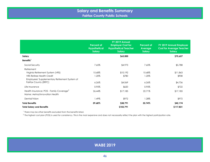<span id="page-45-0"></span>

|                                                      | <b>Percent of</b><br><b>Hypothetical</b><br><b>Salary</b> | FY 2019 Annual<br><b>Employer Cost for</b><br><b>Hypothetical Teacher</b><br><b>Salary</b> | <b>Percent of</b><br>Average<br><b>Salary</b> | FY 2019 Annual Employer<br><b>Cost for Average Teacher</b><br><b>Salary</b> |
|------------------------------------------------------|-----------------------------------------------------------|--------------------------------------------------------------------------------------------|-----------------------------------------------|-----------------------------------------------------------------------------|
| Salary                                               |                                                           | \$65,000                                                                                   |                                               | \$75,657                                                                    |
| Benefits <sup>1</sup>                                |                                                           |                                                                                            |                                               |                                                                             |
| Social Security                                      | 7.65%                                                     | \$4,973                                                                                    | 7.65%                                         | \$5,788                                                                     |
| Retirement                                           |                                                           |                                                                                            |                                               |                                                                             |
| Virginia Retirement System (VRS)                     | 15.68%                                                    | \$10,192                                                                                   | 15.68%                                        | \$11,863                                                                    |
| <b>VRS Retiree Health Credit</b>                     | 1.20%                                                     | \$780                                                                                      | 1.20%                                         | \$908                                                                       |
| Employees' Supplementary Retirement System of        |                                                           |                                                                                            |                                               |                                                                             |
| Fairfax County (ERFC)                                | $6.26\%$                                                  | \$4,069                                                                                    | $6.26\%$                                      | \$4,736                                                                     |
| Life Insurance                                       | 0.95%                                                     | \$620                                                                                      | 0.95%                                         | \$722                                                                       |
| Health Insurance: POS - Family Coverage <sup>2</sup> | 26.44%                                                    | \$17,185                                                                                   | 22.71%                                        | \$17,185                                                                    |
| Name: Aetna/Innovation Health                        |                                                           |                                                                                            |                                               |                                                                             |
| Dental/Vision                                        | 1.49%                                                     | \$972                                                                                      | 1.28%                                         | \$972                                                                       |
| <b>Total Benefits</b>                                | 59.68%                                                    | \$38,791                                                                                   | 55.74%                                        | \$42,174                                                                    |
| <b>Total Salary and Benefits</b>                     |                                                           | \$103,791                                                                                  |                                               | \$117,831                                                                   |

<sup>2</sup> The highest cost plan (POS) is used for consistency. This is the most expensive and does not necessarily reflect the plan with the highest participation rate.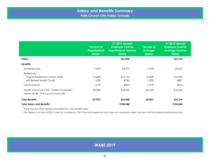<span id="page-46-0"></span>

|                                                                                           | <b>Percent of</b><br><b>Hypothetical</b><br><b>Salary</b> | FY 2019 Annual<br><b>Employer Cost for</b><br><b>Hypothetical Teacher</b><br><b>Salary</b> | <b>Percent of</b><br><b>Average</b><br><b>Salary</b> | FY 2019 Annual<br><b>Employer Cost for</b><br><b>Average Teacher</b><br><b>Salary</b> |
|-------------------------------------------------------------------------------------------|-----------------------------------------------------------|--------------------------------------------------------------------------------------------|------------------------------------------------------|---------------------------------------------------------------------------------------|
| Salary                                                                                    |                                                           | \$65,000                                                                                   |                                                      | \$69,765                                                                              |
| Benefits <sup>1</sup>                                                                     |                                                           |                                                                                            |                                                      |                                                                                       |
| Social Security                                                                           | 7.65%                                                     | \$4,973                                                                                    | 7.65%                                                | \$5,337                                                                               |
| Retirement<br>Virginia Retirement System (VRS)<br><b>VRS Retiree Health Credit</b>        | 15.68%<br>1.20%                                           | \$10,192<br>\$780                                                                          | 15.68%<br>1.20%                                      | \$10,939<br>\$837                                                                     |
| Life Insurance                                                                            | 1.31%                                                     | \$852                                                                                      | 1.31%                                                | \$914                                                                                 |
| Health Insurance: POS - Family Coverage <sup>2</sup><br>Name: BCBS - The Local Choice 250 | 28.08%                                                    | \$18,252                                                                                   | 26.16%                                               | \$18,252                                                                              |
| <b>Total Benefits</b>                                                                     | 53.92%                                                    | \$35,048                                                                                   | 52.00%                                               | \$36,279                                                                              |
| <b>Total Salary and Benefits</b>                                                          |                                                           | \$100,048                                                                                  |                                                      | \$106,044                                                                             |

<sup>2</sup> The highest cost plan (POS) is used for consistency. This is the most expensive and does not necessarily reflect the plan with the highest participation rate.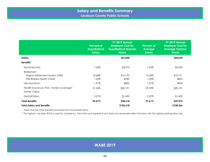<span id="page-47-0"></span>

|                                                      | <b>Percent of</b><br><b>Hypothetical</b><br><b>Salary</b> | FY 2019 Annual<br><b>Employer Cost for</b><br><b>Hypothetical Teacher</b><br><b>Salary</b> | <b>Percent of</b><br>Average<br><b>Salary</b> | FY 2019 Annual<br><b>Employer Cost for</b><br><b>Average Teacher</b><br><b>Salary</b> |
|------------------------------------------------------|-----------------------------------------------------------|--------------------------------------------------------------------------------------------|-----------------------------------------------|---------------------------------------------------------------------------------------|
| Salary                                               |                                                           | \$65,000                                                                                   |                                               | \$68,694                                                                              |
| Benefits <sup>1</sup>                                |                                                           |                                                                                            |                                               |                                                                                       |
| Social Security                                      | 7.65%                                                     | \$4,973                                                                                    | 7.65%                                         | \$5,255                                                                               |
| Retirement                                           |                                                           |                                                                                            |                                               |                                                                                       |
| Virginia Retirement System (VRS)                     | 15.68%                                                    | \$10,192                                                                                   | 15.68%                                        | \$10,771                                                                              |
| <b>VRS Retiree Health Credit</b>                     | 1.20%                                                     | \$780                                                                                      | 1.20%                                         | \$824                                                                                 |
| Life Insurance                                       | 1.31%                                                     | \$852                                                                                      | 1.31%                                         | \$900                                                                                 |
| Health Insurance: POS - Family Coverage <sup>2</sup> | 31.06%                                                    | \$20,191                                                                                   | 29.39%                                        | \$20,191                                                                              |
| Name: Cigna                                          |                                                           |                                                                                            |                                               |                                                                                       |
| Dental/Vision                                        | 2.51%                                                     | \$1,630                                                                                    | 2.37%                                         | \$1,630                                                                               |
| <b>Total Benefits</b>                                | 59.41%                                                    | \$38,618                                                                                   | 57.61%                                        | \$39,572                                                                              |
| <b>Total Salary and Benefits</b>                     |                                                           | \$103,618                                                                                  |                                               | \$108,266                                                                             |

<sup>2</sup> The highest cost plan (POS) is used for consistency. This is the most expensive and does not necessarily reflect the plan with the highest participation rate.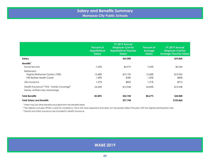<span id="page-48-0"></span>

|                                                                                                  | Percent of<br><b>Hypothetical</b><br><b>Salary</b> | FY 2019 Annual<br><b>Employer Cost for</b><br><b>Hypothetical Teacher</b><br>Salary | <b>Percent of</b><br>Average<br><b>Salary</b> | FY 2019 Annual<br><b>Employer Cost for</b><br><b>Average Teacher Salary</b> |
|--------------------------------------------------------------------------------------------------|----------------------------------------------------|-------------------------------------------------------------------------------------|-----------------------------------------------|-----------------------------------------------------------------------------|
| Salary                                                                                           |                                                    | \$65,000                                                                            |                                               | \$69,860                                                                    |
| Benefits <sup>1</sup>                                                                            |                                                    |                                                                                     |                                               |                                                                             |
| Social Security                                                                                  | 7.65%                                              | \$4,973                                                                             | 7.65%                                         | \$5,344                                                                     |
| Retirement<br>Virginia Retirement System (VRS)<br><b>VRS Retiree Health Credit</b>               | 15.68%<br>1.20%                                    | \$10,192<br>\$780                                                                   | 15.68%<br>1.20%                               | \$10,954<br>\$838                                                           |
| Life Insurance                                                                                   | 1.31%                                              | \$852                                                                               | 1.31%                                         | \$915                                                                       |
| Health Insurance <sup>3</sup> : POS - Family Coverage <sup>2</sup><br>Name: Anthem Key Advantage | 24.54%                                             | \$15,948                                                                            | 22.83%                                        | \$15,948                                                                    |
| <b>Total Benefits</b>                                                                            | 50.38%                                             | \$32,744                                                                            | 48.67%                                        | \$34,000                                                                    |
| <b>Total Salary and Benefits</b>                                                                 |                                                    | \$97,744                                                                            |                                               | \$103,860                                                                   |

<sup>2</sup> The highest cost plan (POS) is used for consistency. This is the most expensive and does not necessarily reflect the plan with the highest participation rate.

<sup>3</sup> Dental and Vision Insurance are included in Health Insurance.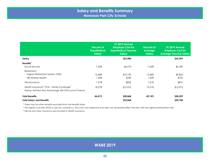<span id="page-49-0"></span>

|                                                                                                                         | <b>Percent of</b><br><b>Hypothetical</b><br><b>Salary</b> | FY 2019 Annual<br><b>Employer Cost for</b><br><b>Hypothetical Teacher</b><br>Salary | <b>Percent of</b><br><b>Average</b><br>Salary | FY 2019 Annual<br><b>Employer Cost for</b><br><b>Average Teacher Salary</b> |
|-------------------------------------------------------------------------------------------------------------------------|-----------------------------------------------------------|-------------------------------------------------------------------------------------|-----------------------------------------------|-----------------------------------------------------------------------------|
| Salary                                                                                                                  |                                                           | \$65,000                                                                            |                                               | \$62,529                                                                    |
| Benefits <sup>1</sup>                                                                                                   |                                                           |                                                                                     |                                               |                                                                             |
| Social Security                                                                                                         | 7.65%                                                     | \$4,973                                                                             | 7.65%                                         | \$4,783                                                                     |
| Retirement                                                                                                              |                                                           |                                                                                     |                                               |                                                                             |
| Virginia Retirement System (VRS)                                                                                        | 15.68%                                                    | \$10,192                                                                            | 15.68%                                        | \$9,805                                                                     |
| <b>VRS Retiree Health</b>                                                                                               | 1.20%                                                     | \$780                                                                               | 1.20%                                         | \$750                                                                       |
| Life Insurance                                                                                                          | 1.31%                                                     | \$852                                                                               | 1.31%                                         | \$819                                                                       |
| Health Insurance <sup>3</sup> : POS - Family Coverage <sup>2</sup><br>Name: Anthem Key Advantage 250 (The Local Choice) | 18.57%                                                    | \$12,072                                                                            | 19.31%                                        | \$12,072                                                                    |
| <b>Total Benefits</b>                                                                                                   | 44.41%                                                    | \$28,868                                                                            | 45.15%                                        | \$28,229                                                                    |
| <b>Total Salary and Benefits</b>                                                                                        |                                                           | \$93,868                                                                            |                                               | \$90,758                                                                    |

<sup>2</sup> The highest cost plan (POS) is used for consistency. This is the most expensive and does not necessarily reflect the plan with the highest participation rate.

<sup>3</sup> Dental and Vision Insurance are included in Health Insurance.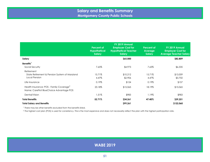<span id="page-50-0"></span>

|                                                                                                  | <b>Percent of</b><br><b>Hypothetical</b><br><b>Salary</b> | FY 2019 Annual<br><b>Employer Cost for</b><br><b>Hypothetical Teacher</b><br><b>Salary</b> | <b>Percent of</b><br><b>Average</b><br>Salary | FY 2019 Annual<br><b>Employer Cost for</b><br><b>Average Teacher Salary</b> |
|--------------------------------------------------------------------------------------------------|-----------------------------------------------------------|--------------------------------------------------------------------------------------------|-----------------------------------------------|-----------------------------------------------------------------------------|
| Salary                                                                                           |                                                           | \$65,000                                                                                   |                                               | \$82,809                                                                    |
| Benefits <sup>1</sup><br>Social Security                                                         | 7.65%                                                     | \$4,973                                                                                    | 7.65%                                         | \$6,335                                                                     |
| Retirement<br>State Retirement & Pension System of Maryland<br>Local Pension                     | 15.71%<br>4.47%                                           | \$10,212<br>\$2,906                                                                        | 15.71%<br>4.47%                               | \$13,009<br>\$3,702                                                         |
| Life Insurance                                                                                   | 0.19%                                                     | \$124                                                                                      | 0.19%                                         | \$157                                                                       |
| Health Insurance: POS - Family Coverage <sup>2</sup><br>Name: CareFirst BlueChoice Advantage POS | 23.18%                                                    | \$15,065                                                                                   | 18.19%                                        | \$15,065                                                                    |
| Dental/Vision                                                                                    | 1.51%                                                     | \$983                                                                                      | 1.19%                                         | \$983                                                                       |
| <b>Total Benefits</b>                                                                            | 52.71%                                                    | \$34,261                                                                                   | 47.40%                                        | \$39,251                                                                    |
| <b>Total Salary and Benefits</b>                                                                 |                                                           | \$99,261                                                                                   |                                               | \$122,060                                                                   |

<sup>2</sup> The highest cost plan (POS) is used for consistency. This is the most expensive and does not necessarily reflect the plan with the highest participation rate.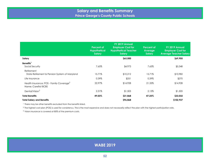<span id="page-51-0"></span>

|                                                                              | Percent of<br><b>Hypothetical</b><br><b>Salary</b> | FY 2019 Annual<br><b>Employer Cost for</b><br><b>Hypothetical Teacher</b><br><b>Salary</b> | <b>Percent of</b><br>Average<br>Salary | FY 2019 Annual<br><b>Employer Cost for</b><br><b>Average Teacher Salary</b> |
|------------------------------------------------------------------------------|----------------------------------------------------|--------------------------------------------------------------------------------------------|----------------------------------------|-----------------------------------------------------------------------------|
| Salary                                                                       |                                                    | \$65,000                                                                                   |                                        | \$69,905                                                                    |
| Benefits <sup>1</sup><br>Social Security                                     | 7.65%                                              | \$4,973                                                                                    | 7.65%                                  | \$5,348                                                                     |
| Retirement<br>State Retirement & Pension System of Maryland                  | 15.71%                                             | \$10,212                                                                                   | 15.71%                                 | \$10,982                                                                    |
| Life Insurance                                                               | 0.39%                                              | \$251                                                                                      | 0.39%                                  | \$270                                                                       |
| Health Insurance: POS - Family Coverage <sup>2</sup><br>Name: Carefirst BCBS | 22.97%                                             | \$14,928                                                                                   | 21.35%                                 | \$14,928                                                                    |
| Dental/Vision <sup>3</sup>                                                   | 2.31%                                              | \$1,505                                                                                    | 2.15%                                  | \$1,505                                                                     |
| <b>Total Benefits</b>                                                        | 49.03%                                             | \$31,868                                                                                   | 47.25%                                 | \$33,032                                                                    |
| <b>Total Salary and Benefits</b>                                             |                                                    | \$96,868                                                                                   |                                        | \$102,937                                                                   |

<sup>2</sup> The highest cost plan (POS) is used for consistency. This is the most expensive and does not necessarily reflect the plan with the highest participation rate.

3 Vision insurance is covered at 80% of the premium costs.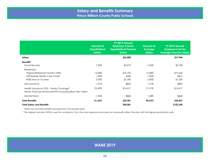<span id="page-52-0"></span>

|                                                                                                                 | <b>Percent of</b><br><b>Hypothetical</b><br><b>Salary</b> | FY 2019 Annual<br><b>Employer Cost for</b><br><b>Hypothetical Teacher</b><br><b>Salary</b> | <b>Percent of</b><br>Average<br><b>Salary</b> | FY 2019 Annual<br><b>Employer Cost for</b><br><b>Average Teacher Salary</b> |
|-----------------------------------------------------------------------------------------------------------------|-----------------------------------------------------------|--------------------------------------------------------------------------------------------|-----------------------------------------------|-----------------------------------------------------------------------------|
| Salary                                                                                                          |                                                           | \$65,000                                                                                   |                                               | \$67,944                                                                    |
| Benefits <sup>1</sup><br>Social Security                                                                        | 7.65%                                                     | \$4,973                                                                                    | 7.65%                                         | \$5,198                                                                     |
| Retirement<br>Virginia Retirement System (VRS)<br><b>VRS Retiree Health Care Credit</b><br>403B Max at 15 years | 15.68%<br>1.20%<br>2.00%                                  | \$10,192<br>\$780<br>\$1,300                                                               | 15.68%<br>1.20%<br>2.00%                      | \$10,654<br>\$815<br>\$1,359                                                |
| Life Insurance                                                                                                  | 1.31%                                                     | \$852                                                                                      | 1.31%                                         | \$890                                                                       |
| Health Insurance: POS - Family Coverage <sup>2</sup><br>Name: KeyCare Enhanced PPO including Blue View Vision   | 22.49%                                                    | \$14,617                                                                                   | 21.51%                                        | \$14,617                                                                    |
| Dental/Vision                                                                                                   | 1.34%                                                     | \$868                                                                                      | 1.28%                                         | \$868                                                                       |
| <b>Total Benefits</b>                                                                                           | 51.66%                                                    | \$33,581                                                                                   | 50.63%                                        | \$34,401                                                                    |
| <b>Total Salary and Benefits</b>                                                                                |                                                           | \$98,581                                                                                   |                                               | \$102,345                                                                   |

<sup>2</sup> The highest cost plan (POS) is used for consistency. This is the most expensive and does not necessarily reflect the plan with the highest participation rate.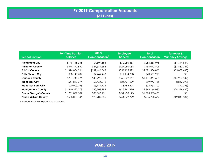<span id="page-53-0"></span>

| <b>School Division</b>        | <b>Full-Time Position</b><br><b>Salaries</b> | <b>Other</b><br>Compensation' | <b>Employee</b><br><b>Benefits</b> | <b>Total</b><br><b>Compensation</b> | <b>Turnover &amp;</b><br><b>Vacancy Savings</b> |
|-------------------------------|----------------------------------------------|-------------------------------|------------------------------------|-------------------------------------|-------------------------------------------------|
| <b>Alexandria City</b>        | \$178,146,355                                | \$7,809,358                   | \$72,280,363                       | \$258,236,076                       | (\$1,344,687)                                   |
| <b>Arlington County</b>       | \$346,472,852                                | \$24,564,592                  | \$127,060,065                      | \$498,097,509                       | ( \$3,830,349)                                  |
| <b>Fairfax County</b>         | \$1,674,004,296                              | \$161,446,565                 | \$856,155,999                      | \$2,691,606,861                     | $($ \$55,038,488)                               |
| <b>Falls Church City</b>      | \$30,143,707                                 | \$2,249,468                   | \$11,164,738                       | \$43,557,913                        | \$0                                             |
| <b>Loudoun County</b>         | \$701,746,676                                | \$43,798,310                  | \$365,822,667                      | \$1,111,367,653                     | (\$17,939,347)                                  |
| <b>Manassas City</b>          | \$61,810,974                                 | \$3,434,212                   | \$24,701,299                       | \$89,946,485                        | $($ \$849,999)                                  |
| <b>Manassas Park City</b>     | \$20,003,798                                 | \$5,964,776                   | \$8,985,526                        | \$34,954,100                        | ( \$72,093]                                     |
| <b>Montgomery County</b>      | \$1,640,322,178                              | \$90,103,992                  | \$615,741,910                      | \$2,346,168,080                     | (S26, 274, 492)                                 |
| <b>Prince George's County</b> | \$1,251,077,107                              | \$83,946,151                  | \$439,480,173                      | \$1,774,503,431                     | \$0                                             |
| <b>Prince William County</b>  | \$633,081,146                                | \$28,909,786                  | \$244,779,742                      | \$906,770,674                       | (\$12,043,884)                                  |

<sup>1</sup> Includes hourly and part-time accounts.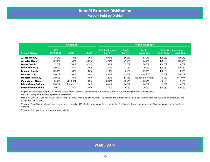<span id="page-54-0"></span>

|                               | <b>Retirement</b>        |                       |           | <b>Health Insurance</b>           |                      |                                   |                                                  |                       |  |  |
|-------------------------------|--------------------------|-----------------------|-----------|-----------------------------------|----------------------|-----------------------------------|--------------------------------------------------|-----------------------|--|--|
| <b>School Division</b>        | <b>Life</b><br>Insurance | State <sup>1</sup>    | Other $2$ | <b>Point of Service</b><br>Family | <b>HMO</b><br>Family | <b>Dental</b><br><b>Insurance</b> | <b>Disability Insurance</b><br><b>Short-term</b> | Long-term             |  |  |
| <b>Alexandria City</b>        | 39.7%                    | 75.8%                 | 0.0%      | 80.0%                             | 80.0%                | 57.0%                             | 100.0%                                           | 100.0%                |  |  |
| <b>Arlington County</b>       | 100.0%                   | 75.8%                 | 50.0%     | 62.0%                             | 69.0%                | 35.0%                             | 100.0%                                           | 100.0%                |  |  |
| <b>Fairfax County</b>         | 72.9%                    | 75.8%                 | 67.6%     | 75.0%                             | 75.0%                | 70.0%                             | 100.0%                                           | 0.0%                  |  |  |
| <b>Falls Church City</b>      | 100.0%                   | 75.8%                 | 0.0%      | 75.0%                             | 75.0%                | 0.0%                              | 100.0%                                           | 100.0%                |  |  |
| Loudoun County                | 100.0%                   | 75.8%                 | 0.0%      | 71.0%                             | 0.0%                 | 82.0%                             | 100.0%                                           | 0.0%                  |  |  |
| <b>Manassas City</b>          | 100.0%                   | 75.8%                 | 0.0%      | 63.0%                             | 75.8%                | see note <sup>3</sup>             | 0.0%                                             | 100.0%                |  |  |
| <b>Manassas Park City</b>     | 100.0%                   | 75.8%                 | 0.0%      | 52.6%                             | 57.4%                | Included in health                | 0.0%                                             | see note <sup>4</sup> |  |  |
| <b>Montgomery County</b>      | 83.0%                    | See note <sup>5</sup> | 0.0%      | 83.0%                             | 88.0%                | 83.0%                             | 0.0%                                             | 0.0%                  |  |  |
| <b>Prince George's County</b> | 100.0%                   | See note <sup>5</sup> | 0.0%      | 80.0%                             | 80.0%                | 80.0%                             | 0.0%                                             | 0.0%                  |  |  |
| <b>Prince William County</b>  | 100.0%                   | 75.8%                 | 0.0%      | 61.0%                             | 70.0%                | 70.0%                             | 100.0%                                           | 100.0%                |  |  |

1 Virginia Retirement System (VRS) for Virginia school districts and the State Retirement & Pension System of Maryland for Maryland school districts.

<sup>2</sup> The Other category includes supplemental retirement.

 $^3$  Manassas City Public Schools includes dental and vision insurance in health insurance. In addition, the district offers a stand alone dental plan with 40% paid by employee, and 60% paid by employer.

4 Manassas Park City Schools long term insurance is covered at 40% of salary and is paid for by the district. Employees who wish to increase to 60% of salary are responsible for the premium.

5 Maryland state rate to be updated when available.